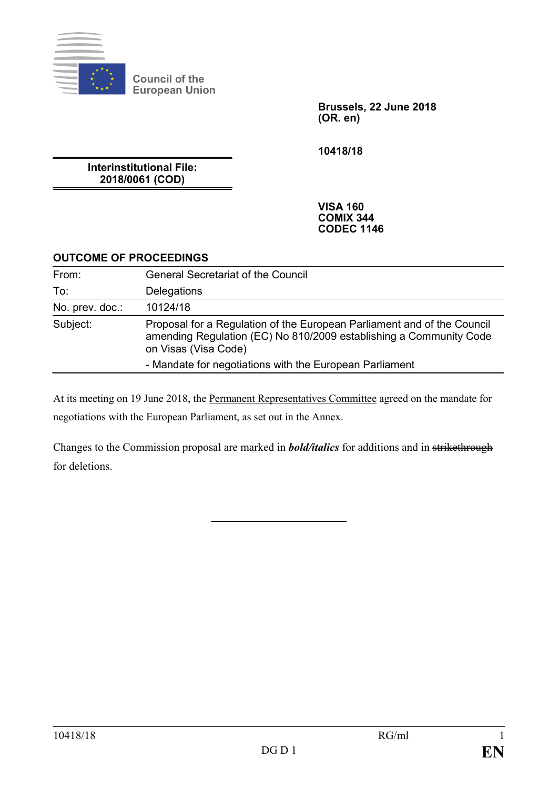

**Council of the European Union**

> **Brussels, 22 June 2018 (OR. en)**

**10418/18**

**Interinstitutional File: 2018/0061 (COD)**

> **VISA 160 COMIX 344 CODEC 1146**

## **OUTCOME OF PROCEEDINGS**

| From:           | <b>General Secretariat of the Council</b>                                                                                                                             |
|-----------------|-----------------------------------------------------------------------------------------------------------------------------------------------------------------------|
| To:             | Delegations                                                                                                                                                           |
| No. prev. doc.: | 10124/18                                                                                                                                                              |
| Subject:        | Proposal for a Regulation of the European Parliament and of the Council<br>amending Regulation (EC) No 810/2009 establishing a Community Code<br>on Visas (Visa Code) |
|                 | - Mandate for negotiations with the European Parliament                                                                                                               |

At its meeting on 19 June 2018, the Permanent Representatives Committee agreed on the mandate for negotiations with the European Parliament, as set out in the Annex.

Changes to the Commission proposal are marked in *bold/italics* for additions and in strikethrough for deletions.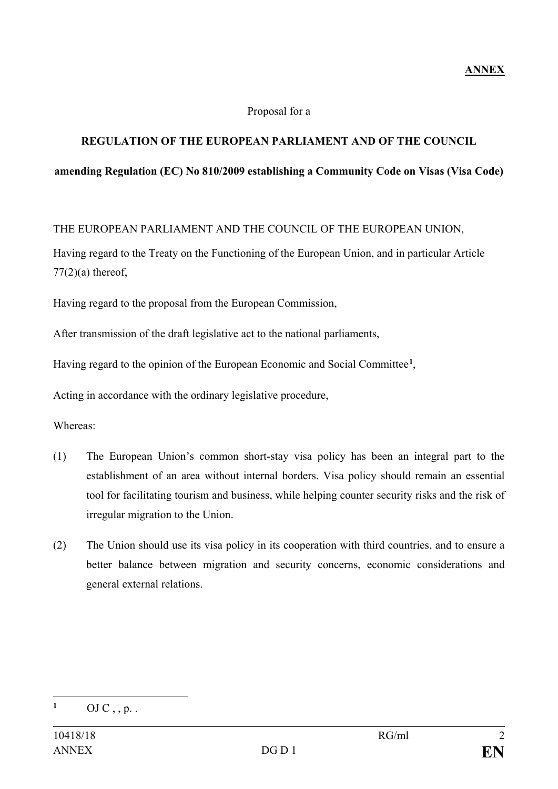#### Proposal for a

## **REGULATION OF THE EUROPEAN PARLIAMENT AND OF THE COUNCIL**

#### **amending Regulation (EC) No 810/2009 establishing a Community Code on Visas (Visa Code)**

THE EUROPEAN PARLIAMENT AND THE COUNCIL OF THE EUROPEAN UNION,

Having regard to the Treaty on the Functioning of the European Union, and in particular Article  $77(2)(a)$  thereof,

Having regard to the proposal from the European Commission,

After transmission of the draft legislative act to the national parliaments,

Having regard to the opinion of the European Economic and Social Committee**[1](#page-1-0)**,

Acting in accordance with the ordinary legislative procedure,

Whereas:

- (1) The European Union's common short-stay visa policy has been an integral part to the establishment of an area without internal borders. Visa policy should remain an essential tool for facilitating tourism and business, while helping counter security risks and the risk of irregular migration to the Union.
- (2) The Union should use its visa policy in its cooperation with third countries, and to ensure a better balance between migration and security concerns, economic considerations and general external relations.

<span id="page-1-0"></span> $\mathbf{1}$ **<sup>1</sup>** OJ C , , p. .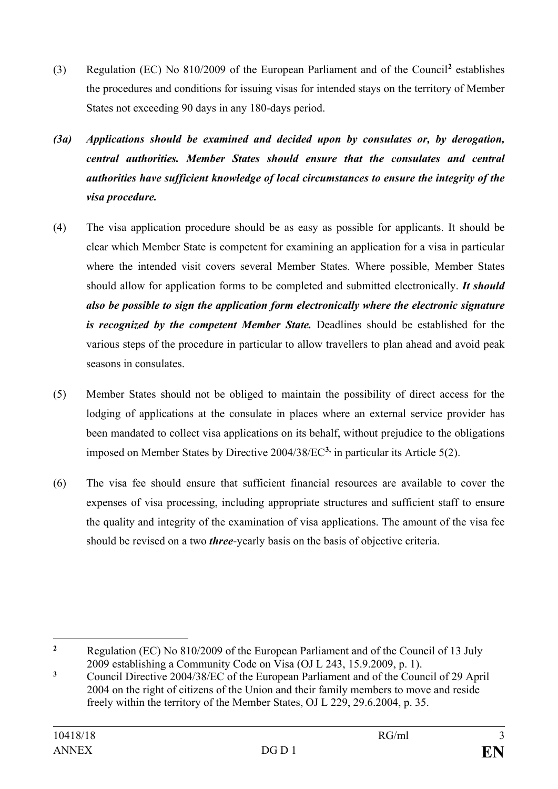- (3) Regulation (EC) No 810/2009 of the European Parliament and of the Council**[2](#page-2-0)** establishes the procedures and conditions for issuing visas for intended stays on the territory of Member States not exceeding 90 days in any 180-days period.
- *(3a) Applications should be examined and decided upon by consulates or, by derogation, central authorities. Member States should ensure that the consulates and central authorities have sufficient knowledge of local circumstances to ensure the integrity of the visa procedure.*
- (4) The visa application procedure should be as easy as possible for applicants. It should be clear which Member State is competent for examining an application for a visa in particular where the intended visit covers several Member States. Where possible, Member States should allow for application forms to be completed and submitted electronically. *It should also be possible to sign the application form electronically where the electronic signature is recognized by the competent Member State.* Deadlines should be established for the various steps of the procedure in particular to allow travellers to plan ahead and avoid peak seasons in consulates.
- (5) Member States should not be obliged to maintain the possibility of direct access for the lodging of applications at the consulate in places where an external service provider has been mandated to collect visa applications on its behalf, without prejudice to the obligations imposed on Member States by Directive 2004/38/EC**[3](#page-2-1),** in particular its Article 5(2).
- (6) The visa fee should ensure that sufficient financial resources are available to cover the expenses of visa processing, including appropriate structures and sufficient staff to ensure the quality and integrity of the examination of visa applications. The amount of the visa fee should be revised on a two *three*-yearly basis on the basis of objective criteria.

<span id="page-2-0"></span> $\overline{2}$ **<sup>2</sup>** Regulation (EC) No 810/2009 of the European Parliament and of the Council of 13 July 2009 establishing a Community Code on Visa (OJ L 243, 15.9.2009, p. 1).

<span id="page-2-1"></span>**<sup>3</sup>** Council Directive 2004/38/EC of the European Parliament and of the Council of 29 April 2004 on the right of citizens of the Union and their family members to move and reside freely within the territory of the Member States, OJ L 229, 29.6.2004, p. 35.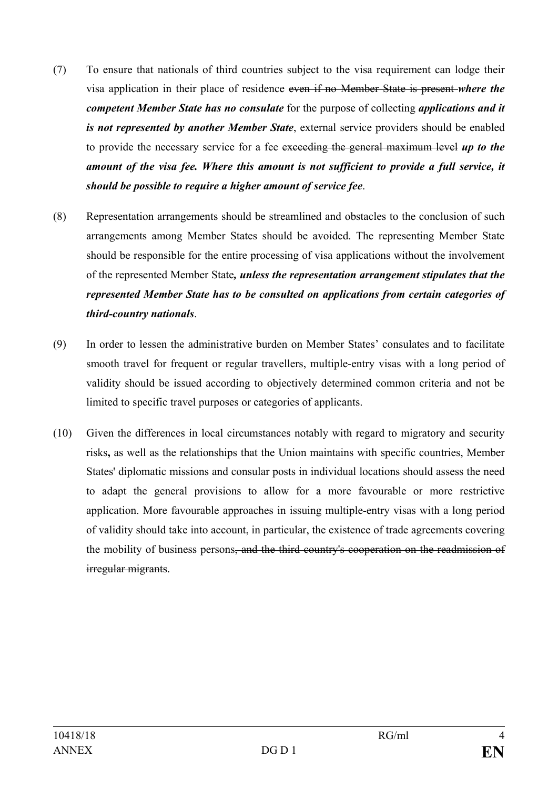- (7) To ensure that nationals of third countries subject to the visa requirement can lodge their visa application in their place of residence even if no Member State is present *where the competent Member State has no consulate* for the purpose of collecting *applications and it is not represented by another Member State*, external service providers should be enabled to provide the necessary service for a fee exceeding the general maximum level *up to the amount of the visa fee. Where this amount is not sufficient to provide a full service, it should be possible to require a higher amount of service fee*.
- (8) Representation arrangements should be streamlined and obstacles to the conclusion of such arrangements among Member States should be avoided. The representing Member State should be responsible for the entire processing of visa applications without the involvement of the represented Member State*, unless the representation arrangement stipulates that the represented Member State has to be consulted on applications from certain categories of third-country nationals*.
- (9) In order to lessen the administrative burden on Member States' consulates and to facilitate smooth travel for frequent or regular travellers, multiple-entry visas with a long period of validity should be issued according to objectively determined common criteria and not be limited to specific travel purposes or categories of applicants.
- (10) Given the differences in local circumstances notably with regard to migratory and security risks**,** as well as the relationships that the Union maintains with specific countries, Member States' diplomatic missions and consular posts in individual locations should assess the need to adapt the general provisions to allow for a more favourable or more restrictive application. More favourable approaches in issuing multiple-entry visas with a long period of validity should take into account, in particular, the existence of trade agreements covering the mobility of business persons, and the third country's cooperation on the readmission of irregular migrants.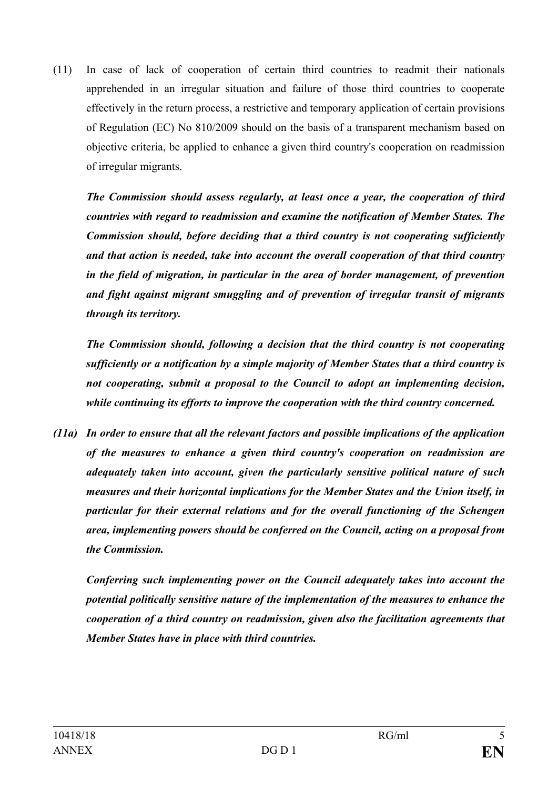(11) In case of lack of cooperation of certain third countries to readmit their nationals apprehended in an irregular situation and failure of those third countries to cooperate effectively in the return process, a restrictive and temporary application of certain provisions of Regulation (EC) No 810/2009 should on the basis of a transparent mechanism based on objective criteria, be applied to enhance a given third country's cooperation on readmission of irregular migrants.

*The Commission should assess regularly, at least once a year, the cooperation of third countries with regard to readmission and examine the notification of Member States. The Commission should, before deciding that a third country is not cooperating sufficiently and that action is needed, take into account the overall cooperation of that third country in the field of migration, in particular in the area of border management, of prevention and fight against migrant smuggling and of prevention of irregular transit of migrants through its territory.*

*The Commission should, following a decision that the third country is not cooperating sufficiently or a notification by a simple majority of Member States that a third country is not cooperating, submit a proposal to the Council to adopt an implementing decision, while continuing its efforts to improve the cooperation with the third country concerned.*

*(11a) In order to ensure that all the relevant factors and possible implications of the application of the measures to enhance a given third country's cooperation on readmission are adequately taken into account, given the particularly sensitive political nature of such measures and their horizontal implications for the Member States and the Union itself, in particular for their external relations and for the overall functioning of the Schengen area, implementing powers should be conferred on the Council, acting on a proposal from the Commission.*

*Conferring such implementing power on the Council adequately takes into account the potential politically sensitive nature of the implementation of the measures to enhance the cooperation of a third country on readmission, given also the facilitation agreements that Member States have in place with third countries.*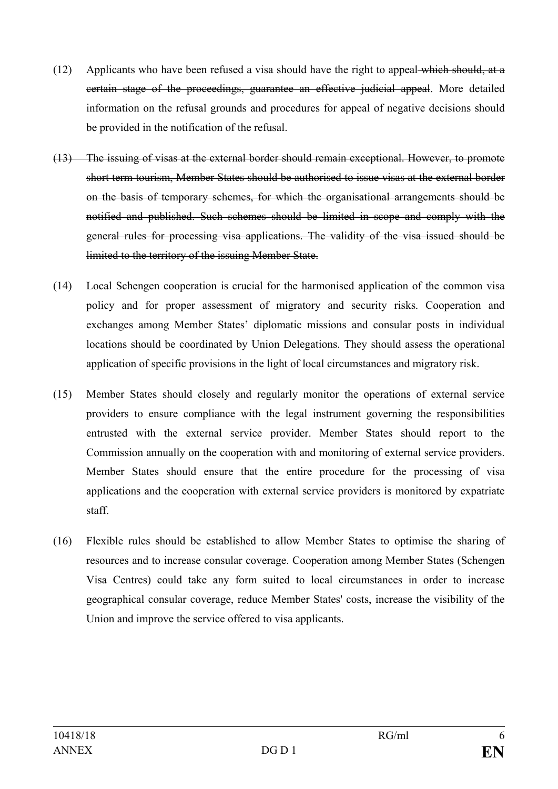- (12) Applicants who have been refused a visa should have the right to appeal which should, at a certain stage of the proceedings, guarantee an effective judicial appeal. More detailed information on the refusal grounds and procedures for appeal of negative decisions should be provided in the notification of the refusal.
- (13) The issuing of visas at the external border should remain exceptional. However, to promote short term tourism, Member States should be authorised to issue visas at the external border on the basis of temporary schemes, for which the organisational arrangements should be notified and published. Such schemes should be limited in scope and comply with the general rules for processing visa applications. The validity of the visa issued should be limited to the territory of the issuing Member State.
- (14) Local Schengen cooperation is crucial for the harmonised application of the common visa policy and for proper assessment of migratory and security risks. Cooperation and exchanges among Member States' diplomatic missions and consular posts in individual locations should be coordinated by Union Delegations. They should assess the operational application of specific provisions in the light of local circumstances and migratory risk.
- (15) Member States should closely and regularly monitor the operations of external service providers to ensure compliance with the legal instrument governing the responsibilities entrusted with the external service provider. Member States should report to the Commission annually on the cooperation with and monitoring of external service providers. Member States should ensure that the entire procedure for the processing of visa applications and the cooperation with external service providers is monitored by expatriate staff.
- (16) Flexible rules should be established to allow Member States to optimise the sharing of resources and to increase consular coverage. Cooperation among Member States (Schengen Visa Centres) could take any form suited to local circumstances in order to increase geographical consular coverage, reduce Member States' costs, increase the visibility of the Union and improve the service offered to visa applicants.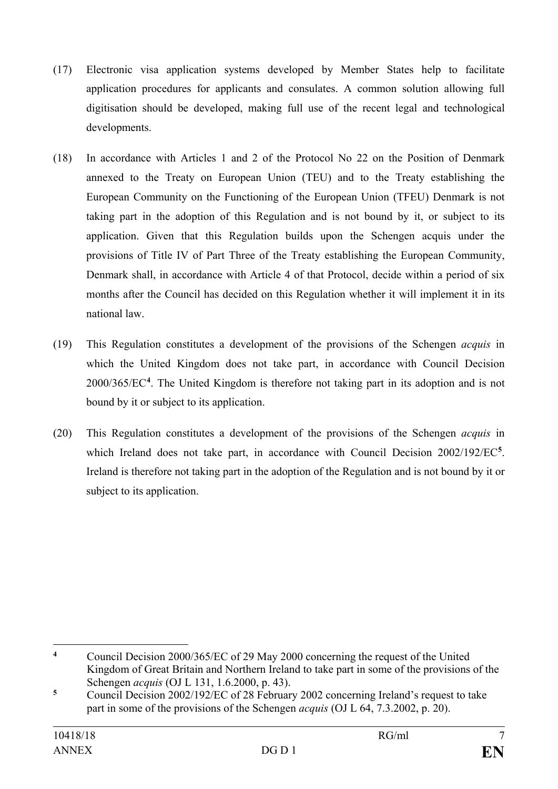- (17) Electronic visa application systems developed by Member States help to facilitate application procedures for applicants and consulates. A common solution allowing full digitisation should be developed, making full use of the recent legal and technological developments.
- (18) In accordance with Articles 1 and 2 of the Protocol No 22 on the Position of Denmark annexed to the Treaty on European Union (TEU) and to the Treaty establishing the European Community on the Functioning of the European Union (TFEU) Denmark is not taking part in the adoption of this Regulation and is not bound by it, or subject to its application. Given that this Regulation builds upon the Schengen acquis under the provisions of Title IV of Part Three of the Treaty establishing the European Community, Denmark shall, in accordance with Article 4 of that Protocol, decide within a period of six months after the Council has decided on this Regulation whether it will implement it in its national law.
- (19) This Regulation constitutes a development of the provisions of the Schengen *acquis* in which the United Kingdom does not take part, in accordance with Council Decision 2000/365/EC**[4](#page-6-0)** . The United Kingdom is therefore not taking part in its adoption and is not bound by it or subject to its application.
- (20) This Regulation constitutes a development of the provisions of the Schengen *acquis* in which Ireland does not take part, in accordance with Council Decision 2002/192/EC**[5](#page-6-1)**. Ireland is therefore not taking part in the adoption of the Regulation and is not bound by it or subject to its application.

<span id="page-6-0"></span> $\overline{4}$ **<sup>4</sup>** Council Decision 2000/365/EC of 29 May 2000 concerning the request of the United Kingdom of Great Britain and Northern Ireland to take part in some of the provisions of the Schengen *acquis* (OJ L 131, 1.6.2000, p. 43).

<span id="page-6-1"></span>**<sup>5</sup>** Council Decision 2002/192/EC of 28 February 2002 concerning Ireland's request to take part in some of the provisions of the Schengen *acquis* (OJ L 64, 7.3.2002, p. 20).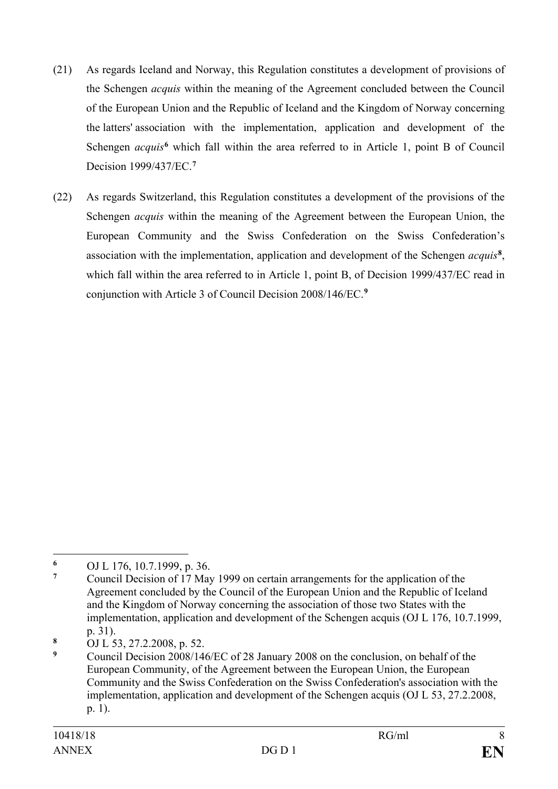- (21) As regards Iceland and Norway, this Regulation constitutes a development of provisions of the Schengen *acquis* within the meaning of the Agreement concluded between the Council of the European Union and the Republic of Iceland and the Kingdom of Norway concerning the latters' association with the implementation, application and development of the Schengen *acquis*<sup>[6](#page-7-0)</sup> which fall within the area referred to in Article 1, point B of Council Decision 1999/437/EC.**[7](#page-7-1)**
- (22) As regards Switzerland, this Regulation constitutes a development of the provisions of the Schengen *acquis* within the meaning of the Agreement between the European Union, the European Community and the Swiss Confederation on the Swiss Confederation's association with the implementation, application and development of the Schengen *acquis***[8](#page-7-2)**, which fall within the area referred to in Article 1, point B, of Decision 1999/437/EC read in conjunction with Article 3 of Council Decision 2008/146/EC.**[9](#page-7-3)**

<span id="page-7-0"></span> $\overline{a}$ **<sup>6</sup>** OJ L 176, 10.7.1999, p. 36.

<span id="page-7-1"></span>**<sup>7</sup>** Council Decision of 17 May 1999 on certain arrangements for the application of the Agreement concluded by the Council of the European Union and the Republic of Iceland and the Kingdom of Norway concerning the association of those two States with the implementation, application and development of the Schengen acquis (OJ L 176, 10.7.1999, p. 31).

<span id="page-7-2"></span>**<sup>8</sup>** OJ L 53, 27.2.2008, p. 52.

<span id="page-7-3"></span>**<sup>9</sup>** Council Decision 2008/146/EC of 28 January 2008 on the conclusion, on behalf of the European Community, of the Agreement between the European Union, the European Community and the Swiss Confederation on the Swiss Confederation's association with the implementation, application and development of the Schengen acquis (OJ L 53, 27.2.2008, p. 1).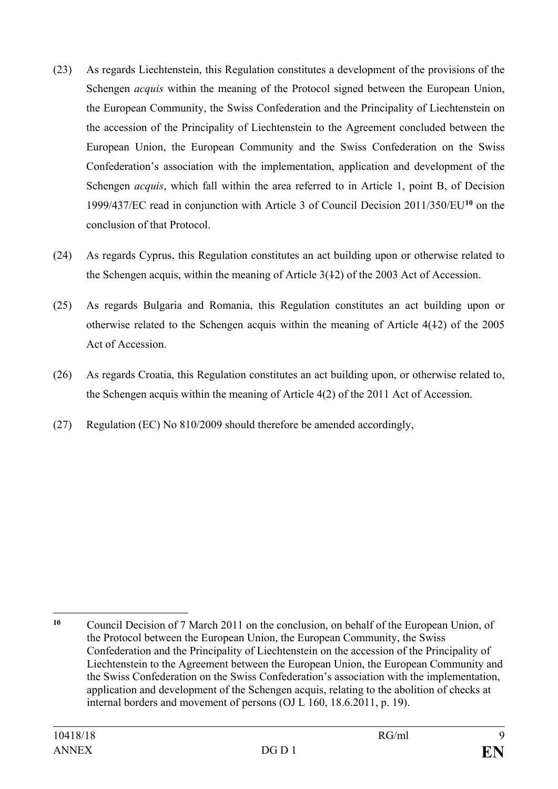- (23) As regards Liechtenstein, this Regulation constitutes a development of the provisions of the Schengen *acquis* within the meaning of the Protocol signed between the European Union, the European Community, the Swiss Confederation and the Principality of Liechtenstein on the accession of the Principality of Liechtenstein to the Agreement concluded between the European Union, the European Community and the Swiss Confederation on the Swiss Confederation's association with the implementation, application and development of the Schengen *acquis*, which fall within the area referred to in Article 1, point B, of Decision 1999/437/EC read in conjunction with Article 3 of Council Decision 2011/350/EU**[10](#page-8-0)** on the conclusion of that Protocol.
- (24) As regards Cyprus, this Regulation constitutes an act building upon or otherwise related to the Schengen acquis, within the meaning of Article 3(12) of the 2003 Act of Accession.
- (25) As regards Bulgaria and Romania, this Regulation constitutes an act building upon or otherwise related to the Schengen acquis within the meaning of Article 4(12) of the 2005 Act of Accession.
- (26) As regards Croatia, this Regulation constitutes an act building upon, or otherwise related to, the Schengen acquis within the meaning of Article 4(2) of the 2011 Act of Accession.
- (27) Regulation (EC) No 810/2009 should therefore be amended accordingly,

<span id="page-8-0"></span> $\overline{a}$ **<sup>10</sup>** Council Decision of 7 March 2011 on the conclusion, on behalf of the European Union, of the Protocol between the European Union, the European Community, the Swiss Confederation and the Principality of Liechtenstein on the accession of the Principality of Liechtenstein to the Agreement between the European Union, the European Community and the Swiss Confederation on the Swiss Confederation's association with the implementation, application and development of the Schengen acquis, relating to the abolition of checks at internal borders and movement of persons (OJ L 160, 18.6.2011, p. 19).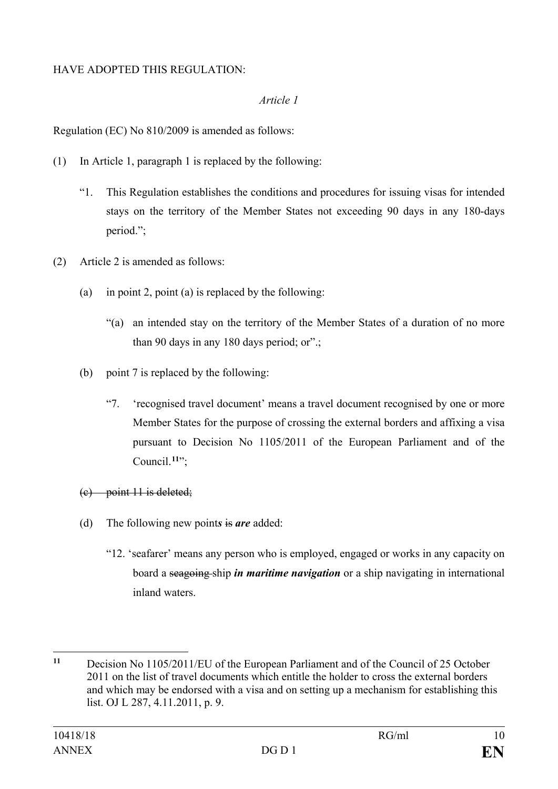### HAVE ADOPTED THIS REGULATION:

#### *Article 1*

Regulation (EC) No 810/2009 is amended as follows:

- (1) In Article 1, paragraph 1 is replaced by the following:
	- "1. This Regulation establishes the conditions and procedures for issuing visas for intended stays on the territory of the Member States not exceeding 90 days in any 180-days period.";
- (2) Article 2 is amended as follows:
	- (a) in point 2, point (a) is replaced by the following:
		- "(a) an intended stay on the territory of the Member States of a duration of no more than 90 days in any 180 days period; or".;
	- (b) point 7 is replaced by the following:
		- "7. 'recognised travel document' means a travel document recognised by one or more Member States for the purpose of crossing the external borders and affixing a visa pursuant to Decision No 1105/2011 of the European Parliament and of the Council.**[11](#page-9-0)**";
	- (c) point 11 is deleted;
	- (d) The following new point*s* is *are* added:
		- "12. 'seafarer' means any person who is employed, engaged or works in any capacity on board a seagoing ship *in maritime navigation* or a ship navigating in international inland waters.

<span id="page-9-0"></span> $11$ **<sup>11</sup>** Decision No 1105/2011/EU of the European Parliament and of the Council of 25 October 2011 on the list of travel documents which entitle the holder to cross the external borders and which may be endorsed with a visa and on setting up a mechanism for establishing this list. OJ L 287, 4.11.2011, p. 9.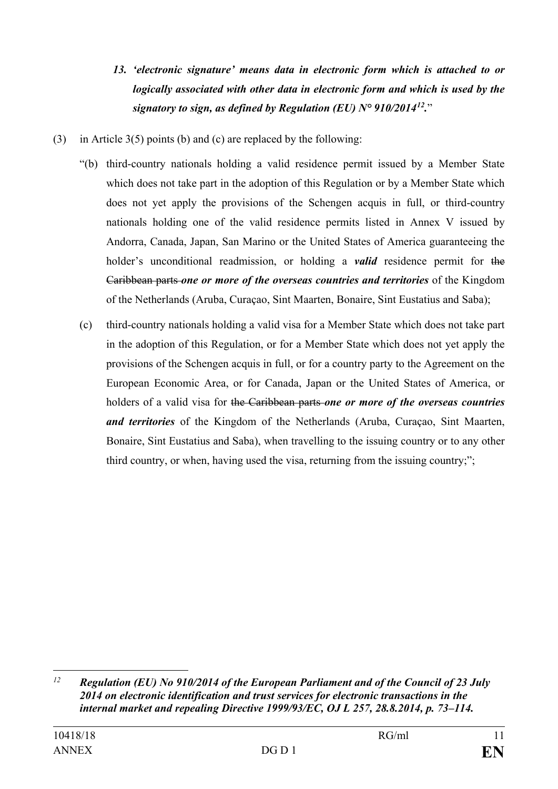- *13. 'electronic signature' means data in electronic form which is attached to or logically associated with other data in electronic form and which is used by the signatory to sign, as defined by Regulation (EU) N° 910/2014[12](#page-10-0).*"
- (3) in Article 3(5) points (b) and (c) are replaced by the following:
	- "(b) third-country nationals holding a valid residence permit issued by a Member State which does not take part in the adoption of this Regulation or by a Member State which does not yet apply the provisions of the Schengen acquis in full, or third-country nationals holding one of the valid residence permits listed in Annex V issued by Andorra, Canada, Japan, San Marino or the United States of America guaranteeing the holder's unconditional readmission, or holding a *valid* residence permit for the Caribbean parts *one or more of the overseas countries and territories* of the Kingdom of the Netherlands (Aruba, Curaçao, Sint Maarten, Bonaire, Sint Eustatius and Saba);
	- (c) third-country nationals holding a valid visa for a Member State which does not take part in the adoption of this Regulation, or for a Member State which does not yet apply the provisions of the Schengen acquis in full, or for a country party to the Agreement on the European Economic Area, or for Canada, Japan or the United States of America, or holders of a valid visa for the Caribbean parts *one or more of the overseas countries and territories* of the Kingdom of the Netherlands (Aruba, Curaçao, Sint Maarten, Bonaire, Sint Eustatius and Saba), when travelling to the issuing country or to any other third country, or when, having used the visa, returning from the issuing country;";

 $\overline{a}$ 

<span id="page-10-0"></span>*<sup>12</sup> Regulation (EU) No 910/2014 of the European Parliament and of the Council of 23 July 2014 on electronic identification and trust services for electronic transactions in the internal market and repealing Directive 1999/93/EC, OJ L 257, 28.8.2014, p. 73–114.*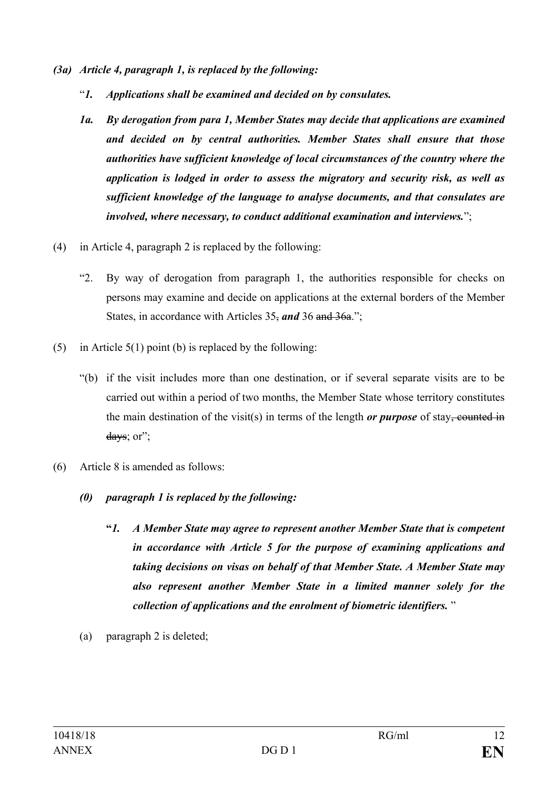- *(3a) Article 4, paragraph 1, is replaced by the following:*
	- "*1. Applications shall be examined and decided on by consulates.*
	- *1a. By derogation from para 1, Member States may decide that applications are examined and decided on by central authorities. Member States shall ensure that those authorities have sufficient knowledge of local circumstances of the country where the application is lodged in order to assess the migratory and security risk, as well as sufficient knowledge of the language to analyse documents, and that consulates are involved, where necessary, to conduct additional examination and interviews.*";
- (4) in Article 4, paragraph 2 is replaced by the following:
	- "2. By way of derogation from paragraph 1, the authorities responsible for checks on persons may examine and decide on applications at the external borders of the Member States, in accordance with Articles 35, *and* 36 and 36a.";
- (5) in Article 5(1) point (b) is replaced by the following:
	- "(b) if the visit includes more than one destination, or if several separate visits are to be carried out within a period of two months, the Member State whose territory constitutes the main destination of the visit(s) in terms of the length *or purpose* of stay, counted in days; or";
- (6) Article 8 is amended as follows:
	- *(0) paragraph 1 is replaced by the following:*
		- **"***1. A Member State may agree to represent another Member State that is competent in accordance with Article 5 for the purpose of examining applications and taking decisions on visas on behalf of that Member State. A Member State may also represent another Member State in a limited manner solely for the collection of applications and the enrolment of biometric identifiers.* "
	- (a) paragraph 2 is deleted;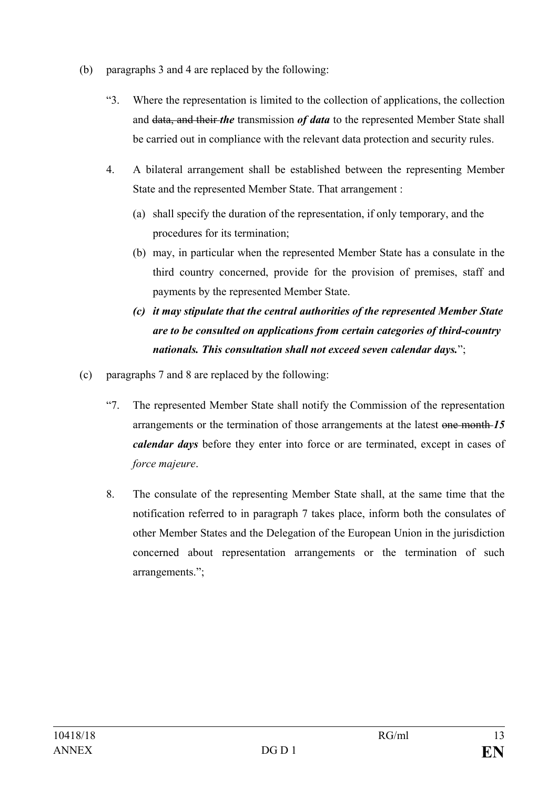- (b) paragraphs 3 and 4 are replaced by the following:
	- "3. Where the representation is limited to the collection of applications, the collection and data, and their *the* transmission *of data* to the represented Member State shall be carried out in compliance with the relevant data protection and security rules.
	- 4. A bilateral arrangement shall be established between the representing Member State and the represented Member State. That arrangement :
		- (a) shall specify the duration of the representation, if only temporary, and the procedures for its termination;
		- (b) may, in particular when the represented Member State has a consulate in the third country concerned, provide for the provision of premises, staff and payments by the represented Member State.
		- *(c) it may stipulate that the central authorities of the represented Member State are to be consulted on applications from certain categories of third-country nationals. This consultation shall not exceed seven calendar days.*";
- (c) paragraphs 7 and 8 are replaced by the following:
	- "7. The represented Member State shall notify the Commission of the representation arrangements or the termination of those arrangements at the latest one month *15 calendar days* before they enter into force or are terminated, except in cases of *force majeure*.
	- 8. The consulate of the representing Member State shall, at the same time that the notification referred to in paragraph 7 takes place, inform both the consulates of other Member States and the Delegation of the European Union in the jurisdiction concerned about representation arrangements or the termination of such arrangements.";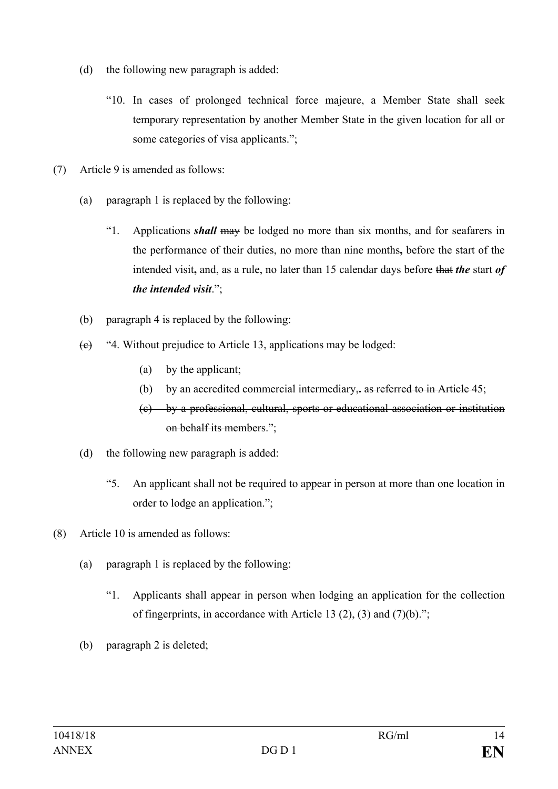- (d) the following new paragraph is added:
	- "10. In cases of prolonged technical force majeure, a Member State shall seek temporary representation by another Member State in the given location for all or some categories of visa applicants.";
- (7) Article 9 is amended as follows:
	- (a) paragraph 1 is replaced by the following:
		- "1. Applications *shall* may be lodged no more than six months, and for seafarers in the performance of their duties, no more than nine months**,** before the start of the intended visit**,** and, as a rule, no later than 15 calendar days before that *the* start *of the intended visit*.";
	- (b) paragraph 4 is replaced by the following:
	- $(e)$  "4. Without prejudice to Article 13, applications may be lodged:
		- (a) by the applicant;
		- (b) by an accredited commercial intermediary,**.** as referred to in Article 45;
		- (c) by a professional, cultural, sports or educational association or institution on behalf its members.";
	- (d) the following new paragraph is added:
		- "5. An applicant shall not be required to appear in person at more than one location in order to lodge an application.";
- (8) Article 10 is amended as follows:
	- (a) paragraph 1 is replaced by the following:
		- "1. Applicants shall appear in person when lodging an application for the collection of fingerprints, in accordance with Article 13 (2), (3) and (7)(b).";
	- (b) paragraph 2 is deleted;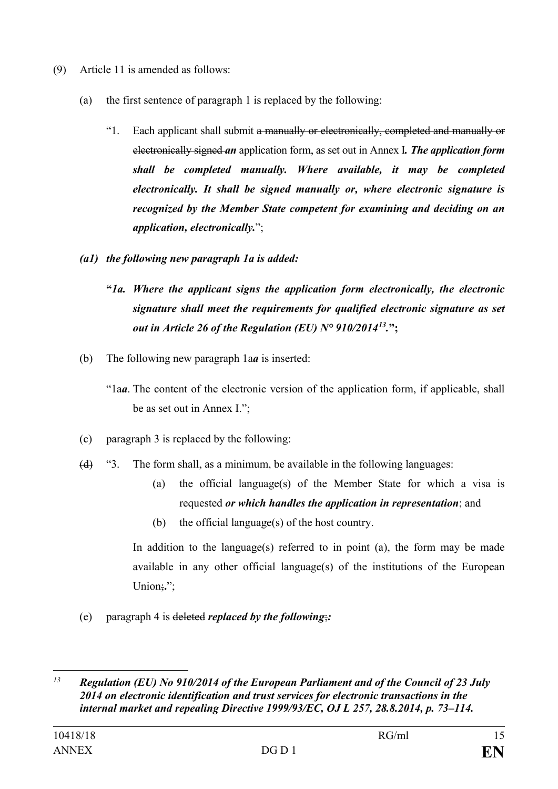- (9) Article 11 is amended as follows:
	- (a) the first sentence of paragraph 1 is replaced by the following:
		- "1. Each applicant shall submit a manually or electronically, completed and manually or electronically signed *an* application form, as set out in Annex I*. The application form shall be completed manually. Where available, it may be completed electronically. It shall be signed manually or, where electronic signature is recognized by the Member State competent for examining and deciding on an application, electronically.*";
	- *(a1) the following new paragraph 1a is added:*
		- **"***1a. Where the applicant signs the application form electronically, the electronic signature shall meet the requirements for qualified electronic signature as set out in Article 26 of the Regulation (EU) N° 910/2014[13](#page-14-0).***";**
	- (b) The following new paragraph 1a*a* is inserted:
		- "1a*a*. The content of the electronic version of the application form, if applicable, shall be as set out in Annex I.";
	- (c) paragraph 3 is replaced by the following:
	- $(d)$  "3. The form shall, as a minimum, be available in the following languages:
		- (a) the official language(s) of the Member State for which a visa is requested *or which handles the application in representation*; and
		- (b) the official language(s) of the host country.

In addition to the language(s) referred to in point (a), the form may be made available in any other official language(s) of the institutions of the European Union;";

(e) paragraph 4 is deleted *replaced by the following*;*:*

<span id="page-14-0"></span> $\overline{a}$ *<sup>13</sup> Regulation (EU) No 910/2014 of the European Parliament and of the Council of 23 July 2014 on electronic identification and trust services for electronic transactions in the internal market and repealing Directive 1999/93/EC, OJ L 257, 28.8.2014, p. 73–114.*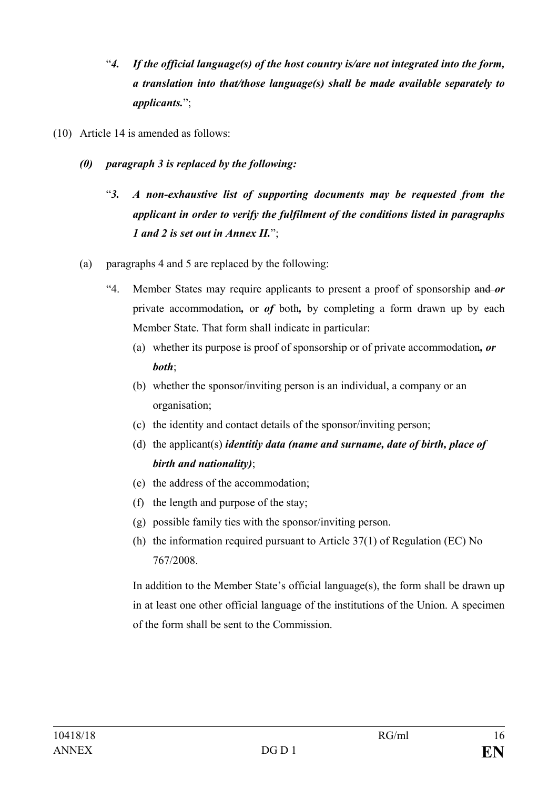- "*4. If the official language(s) of the host country is/are not integrated into the form, a translation into that/those language(s) shall be made available separately to applicants.*";
- (10) Article 14 is amended as follows:
	- *(0) paragraph 3 is replaced by the following:*
		- "*3. A non-exhaustive list of supporting documents may be requested from the applicant in order to verify the fulfilment of the conditions listed in paragraphs 1 and 2 is set out in Annex II.*";
	- (a) paragraphs 4 and 5 are replaced by the following:
		- "4. Member States may require applicants to present a proof of sponsorship and *or* private accommodation*,* or *of* both*,* by completing a form drawn up by each Member State. That form shall indicate in particular:
			- (a) whether its purpose is proof of sponsorship or of private accommodation*, or both*;
			- (b) whether the sponsor/inviting person is an individual, a company or an organisation;
			- (c) the identity and contact details of the sponsor/inviting person;
			- (d) the applicant(s) *identitiy data (name and surname, date of birth, place of birth and nationality)*;
			- (e) the address of the accommodation;
			- (f) the length and purpose of the stay;
			- (g) possible family ties with the sponsor/inviting person.
			- (h) the information required pursuant to Article 37(1) of Regulation (EC) No 767/2008.

In addition to the Member State's official language(s), the form shall be drawn up in at least one other official language of the institutions of the Union. A specimen of the form shall be sent to the Commission.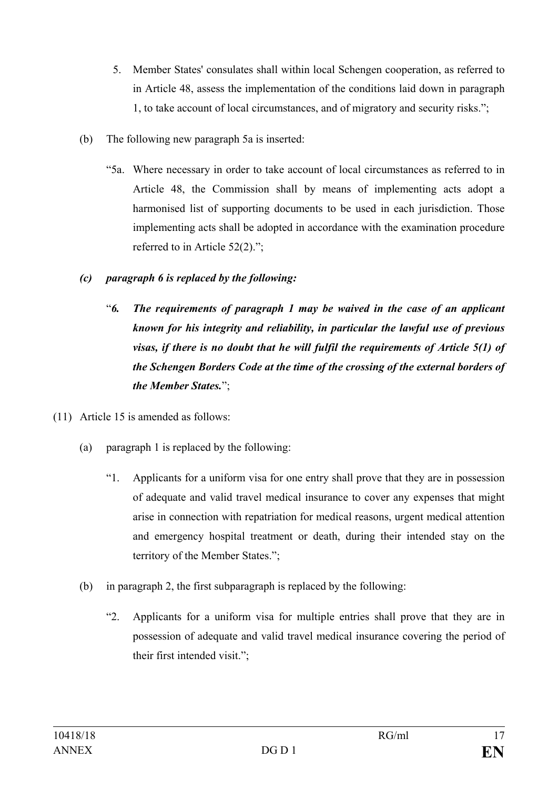- 5. Member States' consulates shall within local Schengen cooperation, as referred to in Article 48, assess the implementation of the conditions laid down in paragraph 1, to take account of local circumstances, and of migratory and security risks.";
- (b) The following new paragraph 5a is inserted:
	- "5a. Where necessary in order to take account of local circumstances as referred to in Article 48, the Commission shall by means of implementing acts adopt a harmonised list of supporting documents to be used in each jurisdiction. Those implementing acts shall be adopted in accordance with the examination procedure referred to in Article 52(2).";
- *(c) paragraph 6 is replaced by the following:*
	- "*6. The requirements of paragraph 1 may be waived in the case of an applicant known for his integrity and reliability, in particular the lawful use of previous visas, if there is no doubt that he will fulfil the requirements of Article 5(1) of the Schengen Borders Code at the time of the crossing of the external borders of the Member States.*";
- (11) Article 15 is amended as follows:
	- (a) paragraph 1 is replaced by the following:
		- "1. Applicants for a uniform visa for one entry shall prove that they are in possession of adequate and valid travel medical insurance to cover any expenses that might arise in connection with repatriation for medical reasons, urgent medical attention and emergency hospital treatment or death, during their intended stay on the territory of the Member States.";
	- (b) in paragraph 2, the first subparagraph is replaced by the following:
		- "2. Applicants for a uniform visa for multiple entries shall prove that they are in possession of adequate and valid travel medical insurance covering the period of their first intended visit.";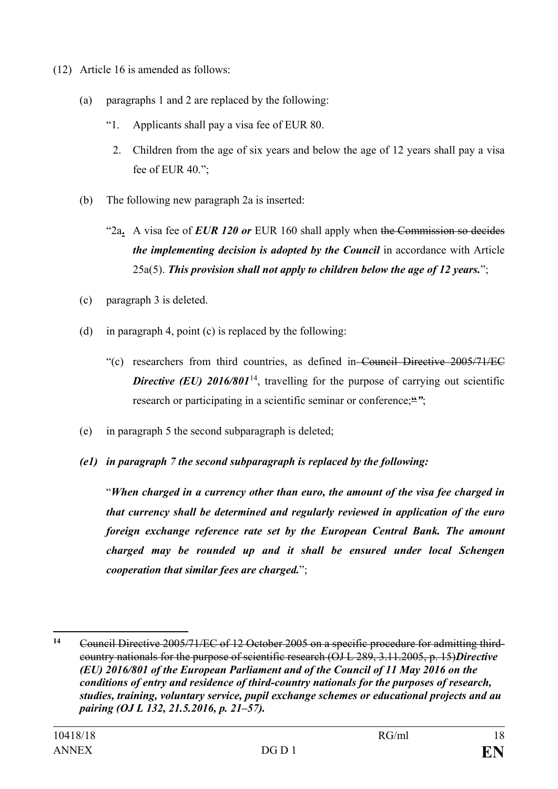- (12) Article 16 is amended as follows:
	- (a) paragraphs 1 and 2 are replaced by the following:
		- "1. Applicants shall pay a visa fee of EUR 80.
		- 2. Children from the age of six years and below the age of 12 years shall pay a visa fee of EUR 40.";
	- (b) The following new paragraph 2a is inserted:
		- "2a**.** A visa fee of *EUR 120 or* EUR 160 shall apply when the Commission so decides *the implementing decision is adopted by the Council* in accordance with Article 25a(5). *This provision shall not apply to children below the age of 12 years.*";
	- (c) paragraph 3 is deleted.
	- (d) in paragraph 4, point (c) is replaced by the following:
		- "(c) researchers from third countries, as defined in Council Directive 2005/71/EC **Directive (EU) 2016/801<sup>14</sup>, travelling for the purpose of carrying out scientific** research or participating in a scientific seminar or conference;<sup>"</sup>";
	- (e) in paragraph 5 the second subparagraph is deleted;
	- *(e1) in paragraph 7 the second subparagraph is replaced by the following:*

"*When charged in a currency other than euro, the amount of the visa fee charged in that currency shall be determined and regularly reviewed in application of the euro foreign exchange reference rate set by the European Central Bank. The amount charged may be rounded up and it shall be ensured under local Schengen cooperation that similar fees are charged.*";

<span id="page-17-0"></span> $14$ **<sup>14</sup>** Council Directive 2005/71/EC of 12 October 2005 on a specific procedure for admitting thirdcountry nationals for the purpose of scientific research (OJ L 289, 3.11.2005, p. 15)*Directive (EU) 2016/801 of the European Parliament and of the Council of 11 May 2016 on the conditions of entry and residence of third-country nationals for the purposes of research, studies, training, voluntary service, pupil exchange schemes or educational projects and au pairing (OJ L 132, 21.5.2016, p. 21–57).*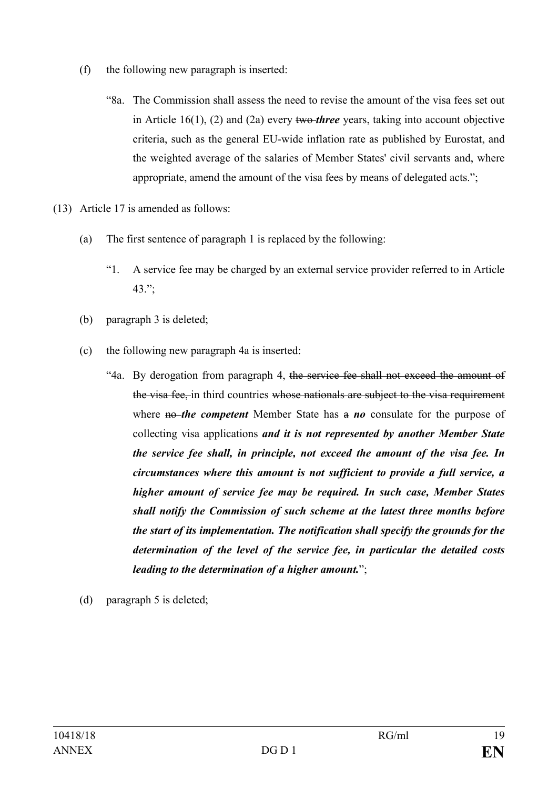- (f) the following new paragraph is inserted:
	- "8a. The Commission shall assess the need to revise the amount of the visa fees set out in Article 16(1), (2) and (2a) every two *three* years, taking into account objective criteria, such as the general EU-wide inflation rate as published by Eurostat, and the weighted average of the salaries of Member States' civil servants and, where appropriate, amend the amount of the visa fees by means of delegated acts.";
- (13) Article 17 is amended as follows:
	- (a) The first sentence of paragraph 1 is replaced by the following:
		- "1. A service fee may be charged by an external service provider referred to in Article 43.";
	- (b) paragraph 3 is deleted;
	- (c) the following new paragraph 4a is inserted:
		- "4a. By derogation from paragraph 4, the service fee shall not exceed the amount of the visa fee, in third countries whose nationals are subject to the visa requirement where **no**-the competent Member State has a *no* consulate for the purpose of collecting visa applications *and it is not represented by another Member State the service fee shall, in principle, not exceed the amount of the visa fee. In circumstances where this amount is not sufficient to provide a full service, a higher amount of service fee may be required. In such case, Member States shall notify the Commission of such scheme at the latest three months before the start of its implementation. The notification shall specify the grounds for the determination of the level of the service fee, in particular the detailed costs leading to the determination of a higher amount.*";
	- (d) paragraph 5 is deleted;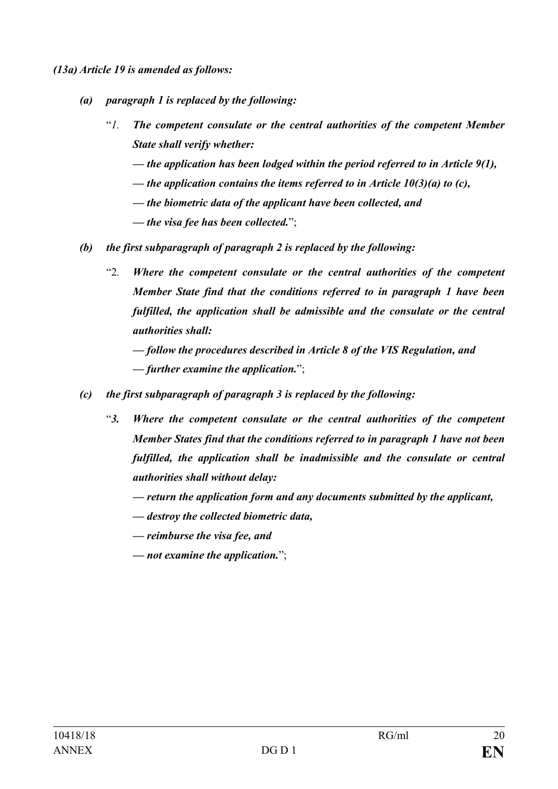*(13a) Article 19 is amended as follows:*

- *(a) paragraph 1 is replaced by the following:*
	- "*1. The competent consulate or the central authorities of the competent Member State shall verify whether:* 
		- *— the application has been lodged within the period referred to in Article 9(1),*
		- *— the application contains the items referred to in Article 10(3)(a) to (c),*
		- *— the biometric data of the applicant have been collected, and*
		- *— the visa fee has been collected.*";
- *(b) the first subparagraph of paragraph 2 is replaced by the following:*
	- "2*. Where the competent consulate or the central authorities of the competent Member State find that the conditions referred to in paragraph 1 have been fulfilled, the application shall be admissible and the consulate or the central authorities shall:*

*— follow the procedures described in Article 8 of the VIS Regulation, and — further examine the application.*";

- *(c) the first subparagraph of paragraph 3 is replaced by the following:*
	- "*3. Where the competent consulate or the central authorities of the competent Member States find that the conditions referred to in paragraph 1 have not been fulfilled, the application shall be inadmissible and the consulate or central authorities shall without delay:*
		- *— return the application form and any documents submitted by the applicant,*
		- *— destroy the collected biometric data,*
		- *— reimburse the visa fee, and*
		- *— not examine the application.*";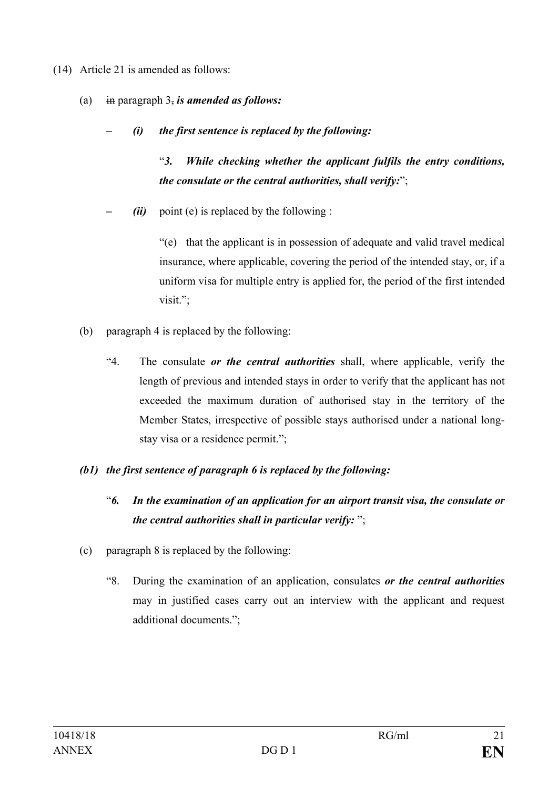- (14) Article 21 is amended as follows:
	- (a) in paragraph 3, *is amended as follows:*
		- *– (i) the first sentence is replaced by the following:*

"*3. While checking whether the applicant fulfils the entry conditions, the consulate or the central authorities, shall verify:*";

*(ii)* point (e) is replaced by the following :

"(e) that the applicant is in possession of adequate and valid travel medical insurance, where applicable, covering the period of the intended stay, or, if a uniform visa for multiple entry is applied for, the period of the first intended visit.";

- (b) paragraph 4 is replaced by the following:
	- "4. The consulate *or the central authorities* shall, where applicable, verify the length of previous and intended stays in order to verify that the applicant has not exceeded the maximum duration of authorised stay in the territory of the Member States, irrespective of possible stays authorised under a national longstay visa or a residence permit.";

## *(b1) the first sentence of paragraph 6 is replaced by the following:*

- "*6. In the examination of an application for an airport transit visa, the consulate or the central authorities shall in particular verify:* ";
- (c) paragraph 8 is replaced by the following:
	- "8. During the examination of an application, consulates *or the central authorities* may in justified cases carry out an interview with the applicant and request additional documents.";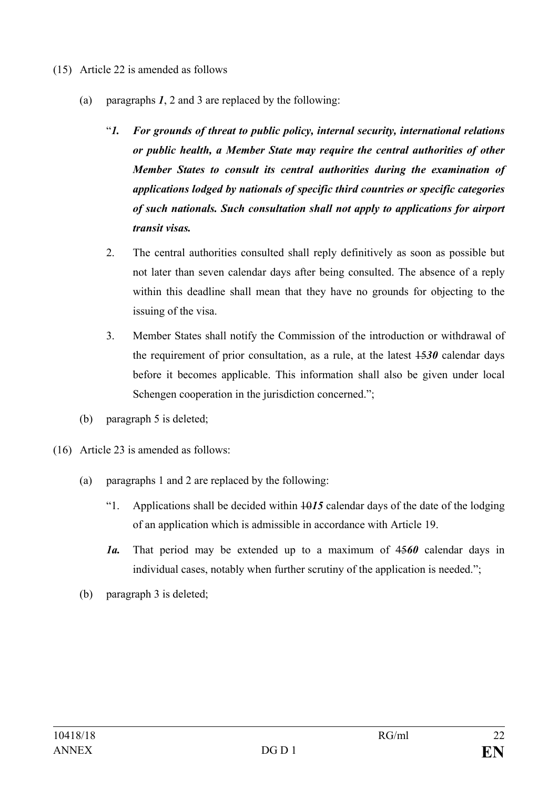- (15) Article 22 is amended as follows
	- (a) paragraphs *1*, 2 and 3 are replaced by the following:
		- "*1. For grounds of threat to public policy, internal security, international relations or public health, a Member State may require the central authorities of other Member States to consult its central authorities during the examination of applications lodged by nationals of specific third countries or specific categories of such nationals. Such consultation shall not apply to applications for airport transit visas.*
		- 2. The central authorities consulted shall reply definitively as soon as possible but not later than seven calendar days after being consulted. The absence of a reply within this deadline shall mean that they have no grounds for objecting to the issuing of the visa.
		- 3. Member States shall notify the Commission of the introduction or withdrawal of the requirement of prior consultation, as a rule, at the latest  $\frac{1530}{1530}$  calendar days before it becomes applicable. This information shall also be given under local Schengen cooperation in the jurisdiction concerned.":
	- (b) paragraph 5 is deleted;
- (16) Article 23 is amended as follows:
	- (a) paragraphs 1 and 2 are replaced by the following:
		- "1. Applications shall be decided within 10*15* calendar days of the date of the lodging of an application which is admissible in accordance with Article 19.
		- *1a.* That period may be extended up to a maximum of 45*60* calendar days in individual cases, notably when further scrutiny of the application is needed.";
	- (b) paragraph 3 is deleted;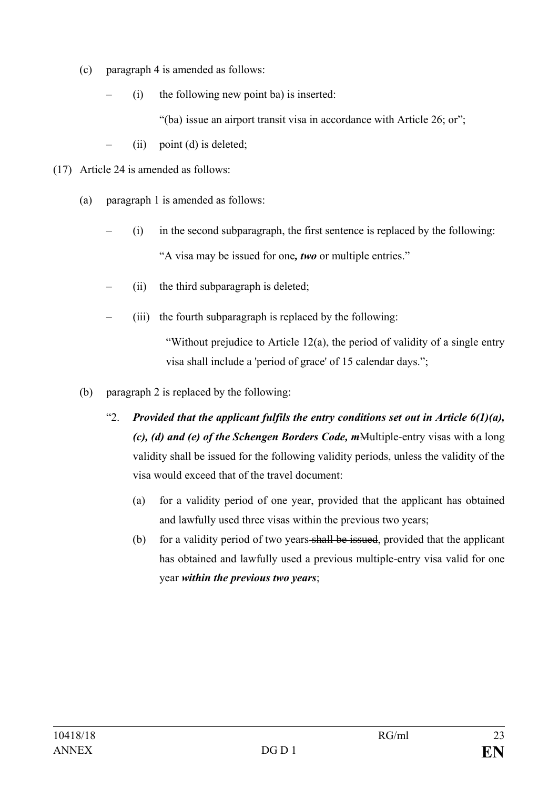- (c) paragraph 4 is amended as follows:
	- $(i)$  the following new point ba) is inserted:

"(ba) issue an airport transit visa in accordance with Article 26; or";

- $(ii)$  point (d) is deleted;
- (17) Article 24 is amended as follows:
	- (a) paragraph 1 is amended as follows:
		- (i) in the second subparagraph, the first sentence is replaced by the following: "A visa may be issued for one*, two* or multiple entries."
		- (ii) the third subparagraph is deleted;
		- (iii) the fourth subparagraph is replaced by the following:

"Without prejudice to Article 12(a), the period of validity of a single entry visa shall include a 'period of grace' of 15 calendar days.";

- (b) paragraph 2 is replaced by the following:
	- "2. *Provided that the applicant fulfils the entry conditions set out in Article*  $6(1)(a)$ *, (c), (d) and (e) of the Schengen Borders Code, m*Multiple-entry visas with a long validity shall be issued for the following validity periods, unless the validity of the visa would exceed that of the travel document:
		- (a) for a validity period of one year, provided that the applicant has obtained and lawfully used three visas within the previous two years;
		- (b) for a validity period of two years shall be issued, provided that the applicant has obtained and lawfully used a previous multiple-entry visa valid for one year *within the previous two years*;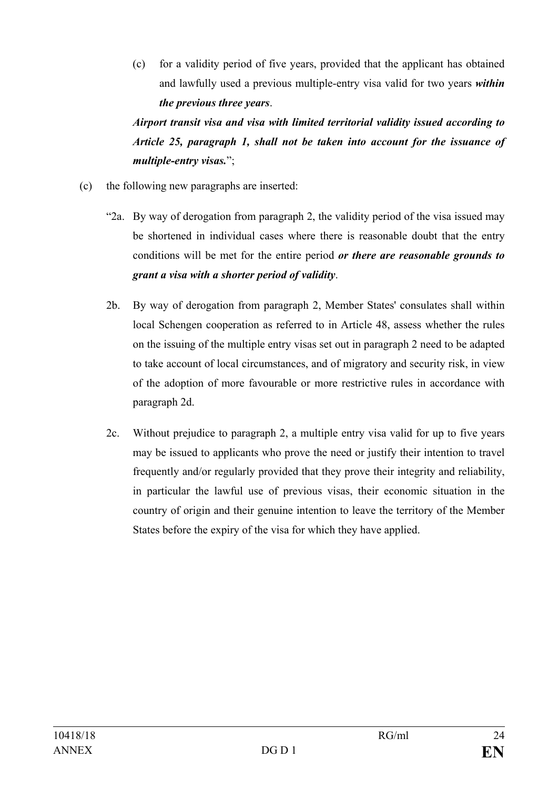(c) for a validity period of five years, provided that the applicant has obtained and lawfully used a previous multiple-entry visa valid for two years *within the previous three years*.

*Airport transit visa and visa with limited territorial validity issued according to Article 25, paragraph 1, shall not be taken into account for the issuance of multiple-entry visas.*";

- (c) the following new paragraphs are inserted:
	- "2a. By way of derogation from paragraph 2, the validity period of the visa issued may be shortened in individual cases where there is reasonable doubt that the entry conditions will be met for the entire period *or there are reasonable grounds to grant a visa with a shorter period of validity*.
	- 2b. By way of derogation from paragraph 2, Member States' consulates shall within local Schengen cooperation as referred to in Article 48, assess whether the rules on the issuing of the multiple entry visas set out in paragraph 2 need to be adapted to take account of local circumstances, and of migratory and security risk, in view of the adoption of more favourable or more restrictive rules in accordance with paragraph 2d.
	- 2c. Without prejudice to paragraph 2, a multiple entry visa valid for up to five years may be issued to applicants who prove the need or justify their intention to travel frequently and/or regularly provided that they prove their integrity and reliability, in particular the lawful use of previous visas, their economic situation in the country of origin and their genuine intention to leave the territory of the Member States before the expiry of the visa for which they have applied.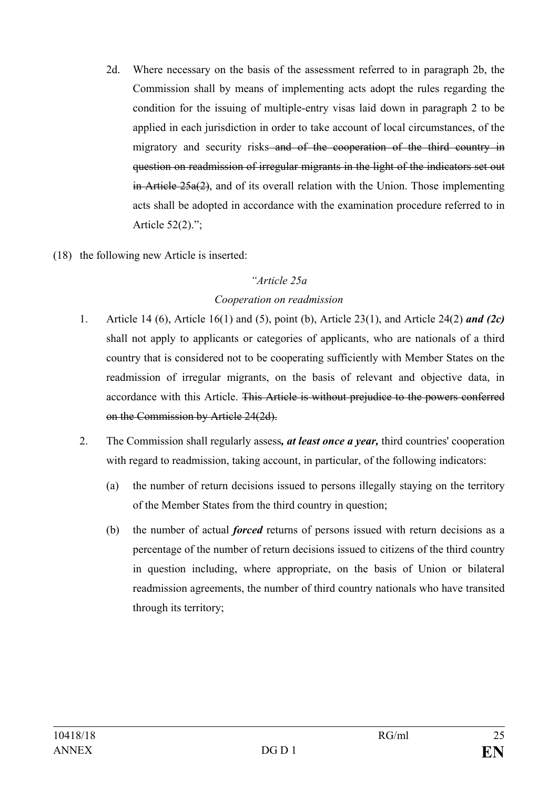- 2d. Where necessary on the basis of the assessment referred to in paragraph 2b, the Commission shall by means of implementing acts adopt the rules regarding the condition for the issuing of multiple-entry visas laid down in paragraph 2 to be applied in each jurisdiction in order to take account of local circumstances, of the migratory and security risks and of the cooperation of the third country in question on readmission of irregular migrants in the light of the indicators set out in Article 25a(2), and of its overall relation with the Union. Those implementing acts shall be adopted in accordance with the examination procedure referred to in Article 52(2).";
- (18) the following new Article is inserted:

#### *"Article 25a*

## *Cooperation on readmission*

- 1. Article 14 (6), Article 16(1) and (5), point (b), Article 23(1), and Article 24(2) *and (2c)* shall not apply to applicants or categories of applicants, who are nationals of a third country that is considered not to be cooperating sufficiently with Member States on the readmission of irregular migrants, on the basis of relevant and objective data, in accordance with this Article. This Article is without prejudice to the powers conferred on the Commission by Article 24(2d).
- 2. The Commission shall regularly assess*, at least once a year,* third countries' cooperation with regard to readmission, taking account, in particular, of the following indicators:
	- (a) the number of return decisions issued to persons illegally staying on the territory of the Member States from the third country in question;
	- (b) the number of actual *forced* returns of persons issued with return decisions as a percentage of the number of return decisions issued to citizens of the third country in question including, where appropriate, on the basis of Union or bilateral readmission agreements, the number of third country nationals who have transited through its territory;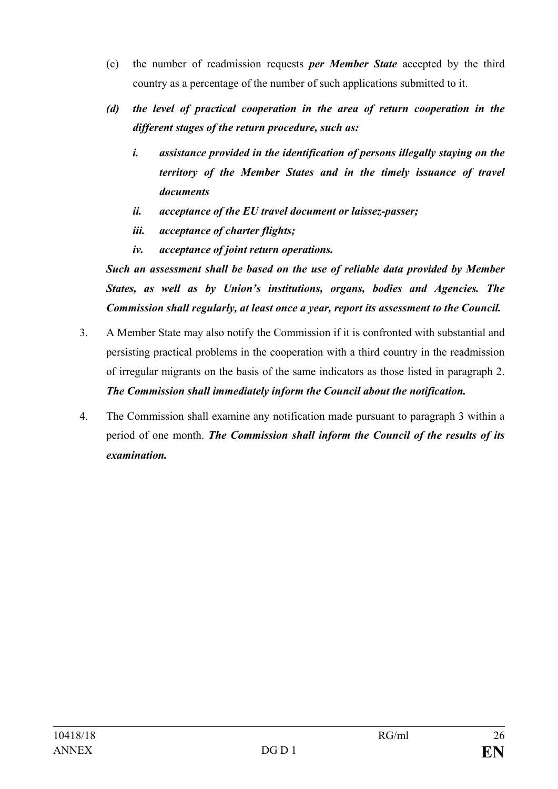- (c) the number of readmission requests *per Member State* accepted by the third country as a percentage of the number of such applications submitted to it.
- *(d) the level of practical cooperation in the area of return cooperation in the different stages of the return procedure, such as:* 
	- *i. assistance provided in the identification of persons illegally staying on the territory of the Member States and in the timely issuance of travel documents*
	- *ii. acceptance of the EU travel document or laissez-passer;*
	- *iii. acceptance of charter flights;*
	- *iv. acceptance of joint return operations.*

*Such an assessment shall be based on the use of reliable data provided by Member States, as well as by Union's institutions, organs, bodies and Agencies. The Commission shall regularly, at least once a year, report its assessment to the Council.*

- 3. A Member State may also notify the Commission if it is confronted with substantial and persisting practical problems in the cooperation with a third country in the readmission of irregular migrants on the basis of the same indicators as those listed in paragraph 2. *The Commission shall immediately inform the Council about the notification.*
- 4. The Commission shall examine any notification made pursuant to paragraph 3 within a period of one month. *The Commission shall inform the Council of the results of its examination.*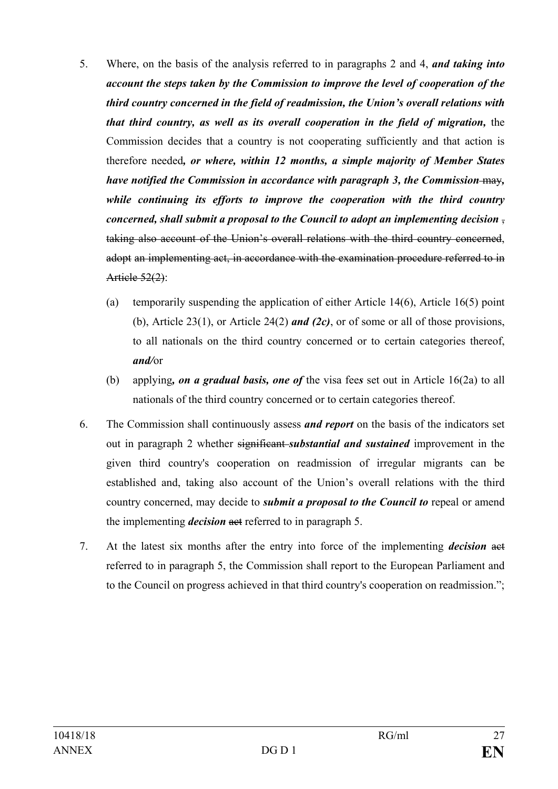- 5. Where, on the basis of the analysis referred to in paragraphs 2 and 4, *and taking into account the steps taken by the Commission to improve the level of cooperation of the third country concerned in the field of readmission, the Union's overall relations with that third country, as well as its overall cooperation in the field of migration, the* Commission decides that a country is not cooperating sufficiently and that action is therefore needed*, or where, within 12 months, a simple majority of Member States have notified the Commission in accordance with paragraph 3, the Commission* may*, while continuing its efforts to improve the cooperation with the third country concerned, shall submit a proposal to the Council to adopt an implementing decision*  $\frac{1}{2}$ taking also account of the Union's overall relations with the third country concerned, adopt an implementing act, in accordance with the examination procedure referred to in Article 52(2):
	- (a) temporarily suspending the application of either Article 14(6), Article 16(5) point (b), Article 23(1), or Article 24(2) *and (2c)*, or of some or all of those provisions, to all nationals on the third country concerned or to certain categories thereof, *and/*or
	- (b) applying*, on a gradual basis, one of* the visa fee*s* set out in Article 16(2a) to all nationals of the third country concerned or to certain categories thereof.
- 6. The Commission shall continuously assess *and report* on the basis of the indicators set out in paragraph 2 whether significant *substantial and sustained* improvement in the given third country's cooperation on readmission of irregular migrants can be established and, taking also account of the Union's overall relations with the third country concerned, may decide to *submit a proposal to the Council to* repeal or amend the implementing *decision* act referred to in paragraph 5.
- 7. At the latest six months after the entry into force of the implementing *decision* act referred to in paragraph 5, the Commission shall report to the European Parliament and to the Council on progress achieved in that third country's cooperation on readmission.";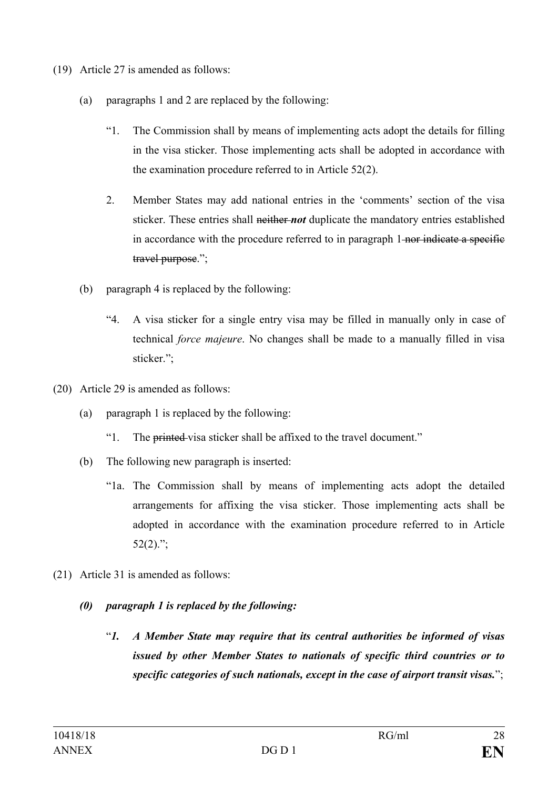- (19) Article 27 is amended as follows:
	- (a) paragraphs 1 and 2 are replaced by the following:
		- "1. The Commission shall by means of implementing acts adopt the details for filling in the visa sticker. Those implementing acts shall be adopted in accordance with the examination procedure referred to in Article 52(2).
		- 2. Member States may add national entries in the 'comments' section of the visa sticker. These entries shall neither *not* duplicate the mandatory entries established in accordance with the procedure referred to in paragraph 1-nor indicate a specific travel purpose.";
	- (b) paragraph 4 is replaced by the following:
		- "4. A visa sticker for a single entry visa may be filled in manually only in case of technical *force majeure*. No changes shall be made to a manually filled in visa sticker.";
- (20) Article 29 is amended as follows:
	- (a) paragraph 1 is replaced by the following:
		- "1. The printed visa sticker shall be affixed to the travel document."
	- (b) The following new paragraph is inserted:
		- "1a. The Commission shall by means of implementing acts adopt the detailed arrangements for affixing the visa sticker. Those implementing acts shall be adopted in accordance with the examination procedure referred to in Article  $52(2)$ .";
- (21) Article 31 is amended as follows:
	- *(0) paragraph 1 is replaced by the following:*
		- "*1. A Member State may require that its central authorities be informed of visas issued by other Member States to nationals of specific third countries or to specific categories of such nationals, except in the case of airport transit visas.*";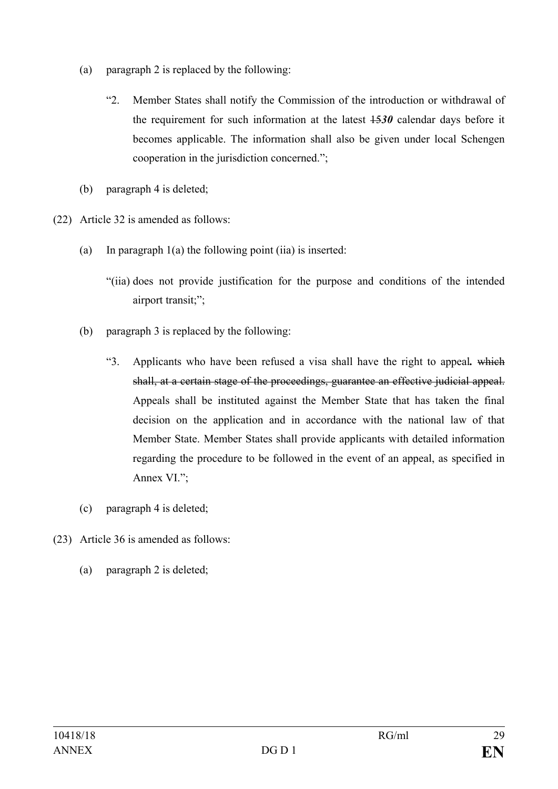- (a) paragraph 2 is replaced by the following:
	- "2. Member States shall notify the Commission of the introduction or withdrawal of the requirement for such information at the latest 15*30* calendar days before it becomes applicable. The information shall also be given under local Schengen cooperation in the jurisdiction concerned.";
- (b) paragraph 4 is deleted;
- (22) Article 32 is amended as follows:
	- (a) In paragraph  $1(a)$  the following point (iia) is inserted:
		- "(iia) does not provide justification for the purpose and conditions of the intended airport transit;";
	- (b) paragraph 3 is replaced by the following:
		- "3. Applicants who have been refused a visa shall have the right to appeal*.* which shall, at a certain stage of the proceedings, guarantee an effective judicial appeal. Appeals shall be instituted against the Member State that has taken the final decision on the application and in accordance with the national law of that Member State. Member States shall provide applicants with detailed information regarding the procedure to be followed in the event of an appeal, as specified in Annex VI.";
	- (c) paragraph 4 is deleted;
- (23) Article 36 is amended as follows:
	- (a) paragraph 2 is deleted;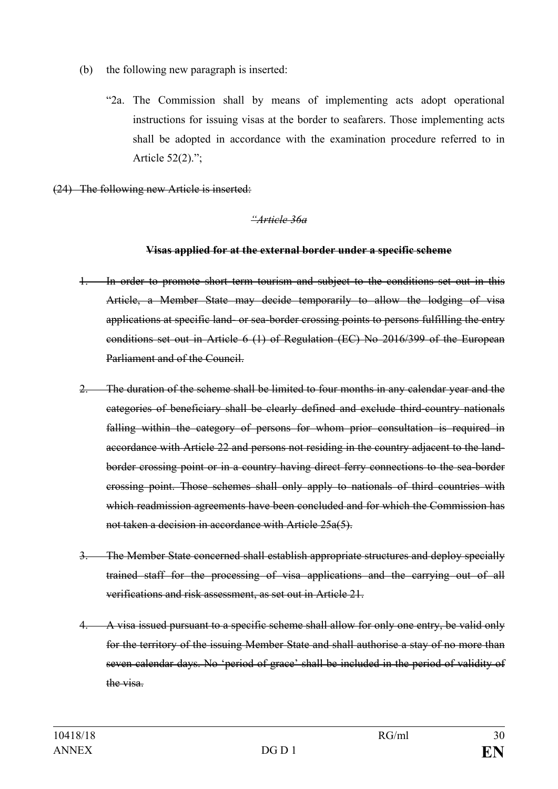- (b) the following new paragraph is inserted:
	- "2a. The Commission shall by means of implementing acts adopt operational instructions for issuing visas at the border to seafarers. Those implementing acts shall be adopted in accordance with the examination procedure referred to in Article 52(2).";
- (24) The following new Article is inserted:

#### *"Article 36a*

#### **Visas applied for at the external border under a specific scheme**

- 1. In order to promote short term tourism and subject to the conditions set out in this Article, a Member State may decide temporarily to allow the lodging of visa applications at specific land- or sea-border crossing points to persons fulfilling the entry conditions set out in Article 6 (1) of Regulation (EC) No 2016/399 of the European Parliament and of the Council.
- 2. The duration of the scheme shall be limited to four months in any calendar year and the categories of beneficiary shall be clearly defined and exclude third-country nationals falling within the category of persons for whom prior consultation is required in accordance with Article 22 and persons not residing in the country adjacent to the landborder crossing point or in a country having direct ferry connections to the sea-border crossing point. Those schemes shall only apply to nationals of third countries with which readmission agreements have been concluded and for which the Commission has not taken a decision in accordance with Article 25a(5).
- 3. The Member State concerned shall establish appropriate structures and deploy specially trained staff for the processing of visa applications and the carrying out of all verifications and risk assessment, as set out in Article 21.
- 4. A visa issued pursuant to a specific scheme shall allow for only one entry, be valid only for the territory of the issuing Member State and shall authorise a stay of no more than seven calendar days. No 'period of grace' shall be included in the period of validity of the visa.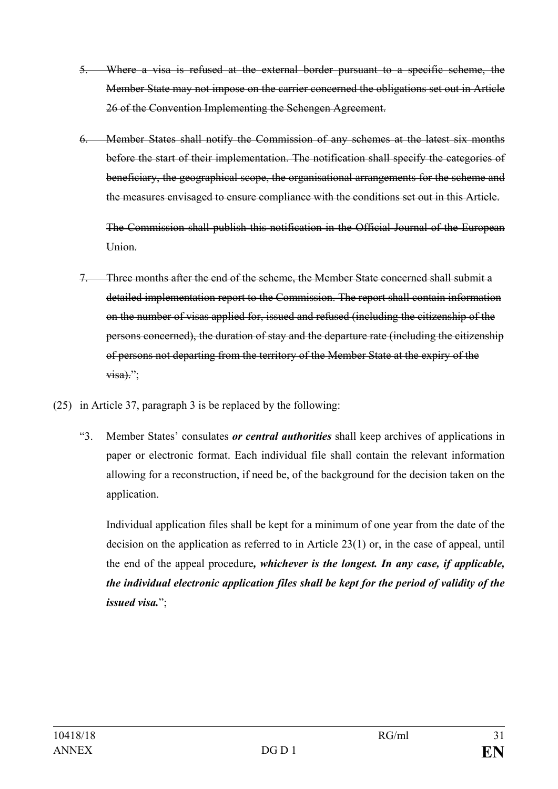- 5. Where a visa is refused at the external border pursuant to a specific scheme, the Member State may not impose on the carrier concerned the obligations set out in Article 26 of the Convention Implementing the Schengen Agreement.
- 6. Member States shall notify the Commission of any schemes at the latest six months before the start of their implementation. The notification shall specify the categories of beneficiary, the geographical scope, the organisational arrangements for the scheme and the measures envisaged to ensure compliance with the conditions set out in this Article.

The Commission shall publish this notification in the Official Journal of the European Union.

- 7. Three months after the end of the scheme, the Member State concerned shall submit a detailed implementation report to the Commission. The report shall contain information on the number of visas applied for, issued and refused (including the citizenship of the persons concerned), the duration of stay and the departure rate (including the citizenship of persons not departing from the territory of the Member State at the expiry of the  $visa$ ).":
- (25) in Article 37, paragraph 3 is be replaced by the following:
	- "3. Member States' consulates *or central authorities* shall keep archives of applications in paper or electronic format. Each individual file shall contain the relevant information allowing for a reconstruction, if need be, of the background for the decision taken on the application.

Individual application files shall be kept for a minimum of one year from the date of the decision on the application as referred to in Article 23(1) or, in the case of appeal, until the end of the appeal procedure*, whichever is the longest. In any case, if applicable, the individual electronic application files shall be kept for the period of validity of the issued visa.*";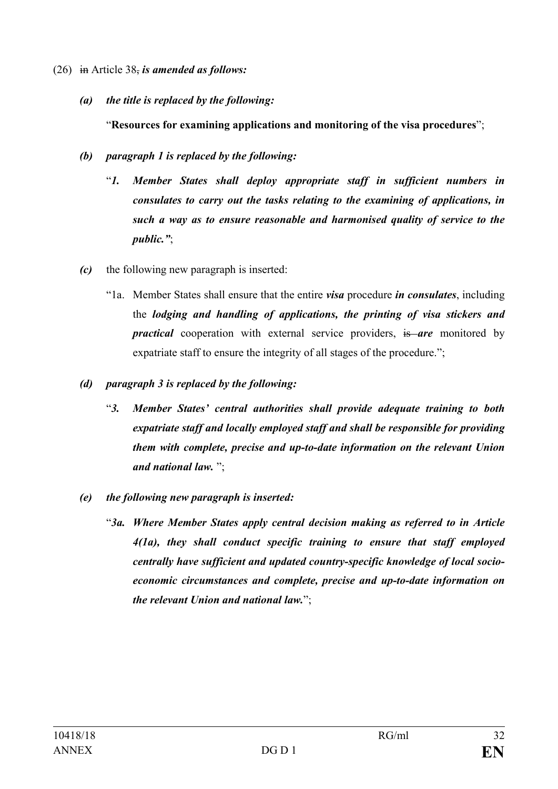- (26) in Article 38, *is amended as follows:*
	- *(a) the title is replaced by the following:*

"**Resources for examining applications and monitoring of the visa procedures**";

- *(b) paragraph 1 is replaced by the following:*
	- "*1. Member States shall deploy appropriate staff in sufficient numbers in consulates to carry out the tasks relating to the examining of applications, in such a way as to ensure reasonable and harmonised quality of service to the public."*;
- *(c)* the following new paragraph is inserted:
	- "1a. Member States shall ensure that the entire *visa* procedure *in consulates*, including the *lodging and handling of applications, the printing of visa stickers and practical* cooperation with external service providers, is are monitored by expatriate staff to ensure the integrity of all stages of the procedure.";
- *(d) paragraph 3 is replaced by the following:*
	- "*3. Member States' central authorities shall provide adequate training to both expatriate staff and locally employed staff and shall be responsible for providing them with complete, precise and up-to-date information on the relevant Union and national law.* ";
- *(e) the following new paragraph is inserted:*
	- "*3a. Where Member States apply central decision making as referred to in Article 4(1a), they shall conduct specific training to ensure that staff employed centrally have sufficient and updated country-specific knowledge of local socioeconomic circumstances and complete, precise and up-to-date information on the relevant Union and national law.*";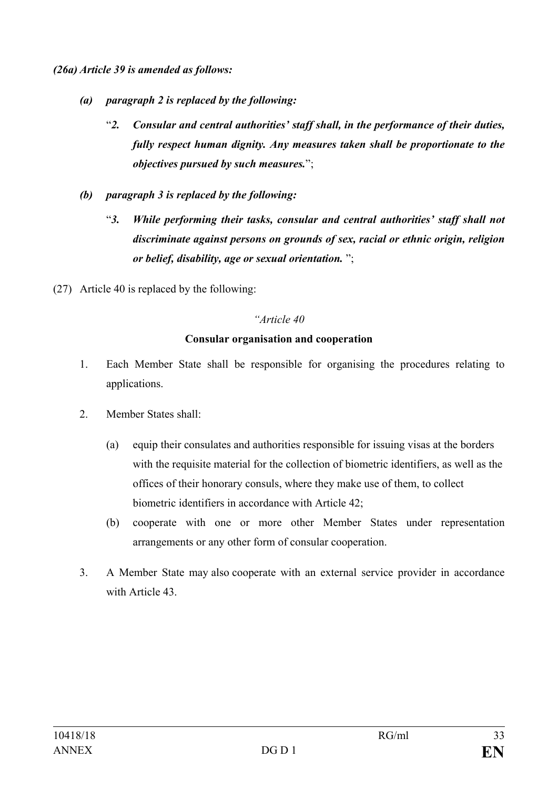*(26a) Article 39 is amended as follows:*

- *(a) paragraph 2 is replaced by the following:*
	- "*2. Consular and central authorities' staff shall, in the performance of their duties, fully respect human dignity. Any measures taken shall be proportionate to the objectives pursued by such measures.*";
- *(b) paragraph 3 is replaced by the following:*
	- "*3. While performing their tasks, consular and central authorities' staff shall not discriminate against persons on grounds of sex, racial or ethnic origin, religion or belief, disability, age or sexual orientation.* ";
- (27) Article 40 is replaced by the following:

#### *"Article 40*

#### **Consular organisation and cooperation**

- 1. Each Member State shall be responsible for organising the procedures relating to applications.
- 2. Member States shall:
	- (a) equip their consulates and authorities responsible for issuing visas at the borders with the requisite material for the collection of biometric identifiers, as well as the offices of their honorary consuls, where they make use of them, to collect biometric identifiers in accordance with Article 42;
	- (b) cooperate with one or more other Member States under representation arrangements or any other form of consular cooperation.
- 3. A Member State may also cooperate with an external service provider in accordance with Article 43.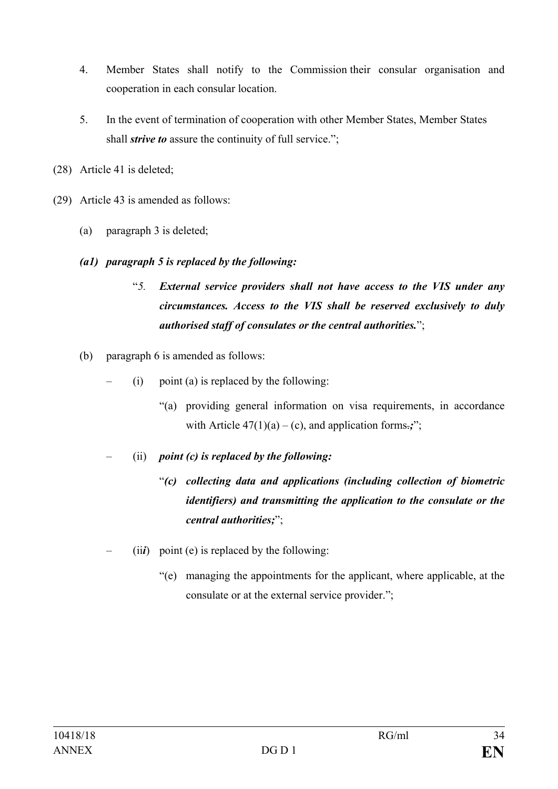- 4. Member States shall notify to the Commission their consular organisation and cooperation in each consular location.
- 5. In the event of termination of cooperation with other Member States, Member States shall *strive to* assure the continuity of full service.";
- (28) Article 41 is deleted;
- (29) Article 43 is amended as follows:
	- (a) paragraph 3 is deleted;
	- *(a1) paragraph 5 is replaced by the following:*
		- "*5. External service providers shall not have access to the VIS under any circumstances. Access to the VIS shall be reserved exclusively to duly authorised staff of consulates or the central authorities.*";
	- (b) paragraph 6 is amended as follows:
		- (i) point (a) is replaced by the following:
			- "(a) providing general information on visa requirements, in accordance with Article  $47(1)(a) - (c)$ , and application forms.;";
		- (ii) *point (c) is replaced by the following:*
			- "*(c) collecting data and applications (including collection of biometric identifiers) and transmitting the application to the consulate or the central authorities;*";
		- $(iii)$  point (e) is replaced by the following:
			- "(e) managing the appointments for the applicant, where applicable, at the consulate or at the external service provider.";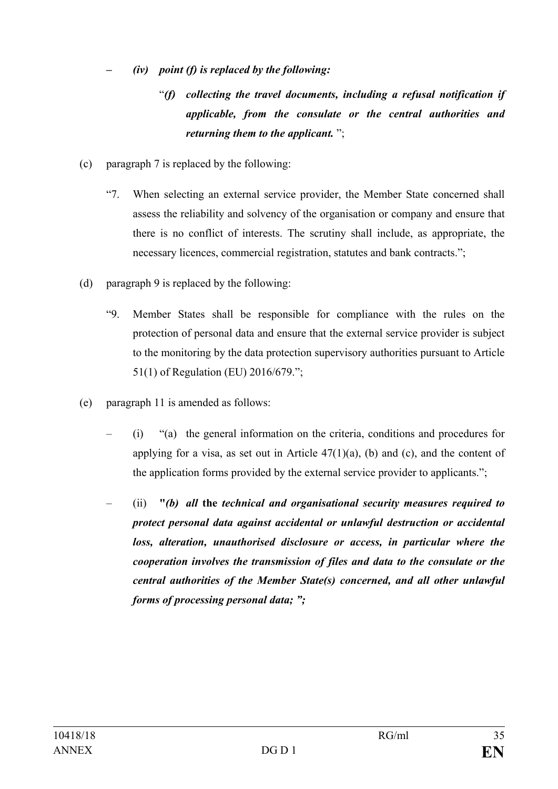- *– (iv) point (f) is replaced by the following:*
	- "*(f) collecting the travel documents, including a refusal notification if applicable, from the consulate or the central authorities and returning them to the applicant.* ";
- (c) paragraph 7 is replaced by the following:
	- "7. When selecting an external service provider, the Member State concerned shall assess the reliability and solvency of the organisation or company and ensure that there is no conflict of interests. The scrutiny shall include, as appropriate, the necessary licences, commercial registration, statutes and bank contracts.";
- (d) paragraph 9 is replaced by the following:
	- "9. Member States shall be responsible for compliance with the rules on the protection of personal data and ensure that the external service provider is subject to the monitoring by the data protection supervisory authorities pursuant to Article 51(1) of Regulation (EU) 2016/679.";
- (e) paragraph 11 is amended as follows:
	- (i) "(a) the general information on the criteria, conditions and procedures for applying for a visa, as set out in Article  $47(1)(a)$ , (b) and (c), and the content of the application forms provided by the external service provider to applicants.";
	- (ii) **"***(b) all* **the** *technical and organisational security measures required to protect personal data against accidental or unlawful destruction or accidental loss, alteration, unauthorised disclosure or access, in particular where the cooperation involves the transmission of files and data to the consulate or the central authorities of the Member State(s) concerned, and all other unlawful forms of processing personal data; ";*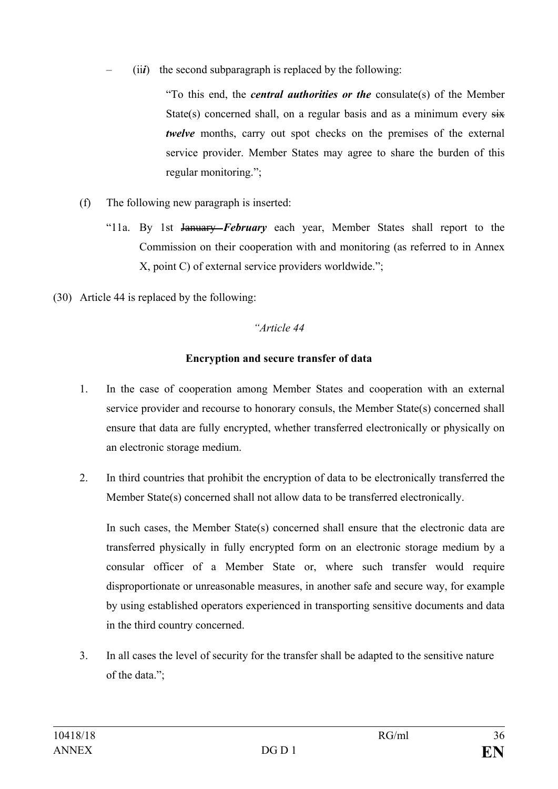– (ii*i*) the second subparagraph is replaced by the following:

"To this end, the *central authorities or the* consulate(s) of the Member State(s) concerned shall, on a regular basis and as a minimum every  $s\ddot{x}$ *twelve* months, carry out spot checks on the premises of the external service provider. Member States may agree to share the burden of this regular monitoring.";

- (f) The following new paragraph is inserted:
	- "11a. By 1st January *February* each year, Member States shall report to the Commission on their cooperation with and monitoring (as referred to in Annex X, point C) of external service providers worldwide.";
- (30) Article 44 is replaced by the following:

## *"Article 44*

## **Encryption and secure transfer of data**

- 1. In the case of cooperation among Member States and cooperation with an external service provider and recourse to honorary consuls, the Member State(s) concerned shall ensure that data are fully encrypted, whether transferred electronically or physically on an electronic storage medium.
- 2. In third countries that prohibit the encryption of data to be electronically transferred the Member State(s) concerned shall not allow data to be transferred electronically.

In such cases, the Member State(s) concerned shall ensure that the electronic data are transferred physically in fully encrypted form on an electronic storage medium by a consular officer of a Member State or, where such transfer would require disproportionate or unreasonable measures, in another safe and secure way, for example by using established operators experienced in transporting sensitive documents and data in the third country concerned.

3. In all cases the level of security for the transfer shall be adapted to the sensitive nature of the data.";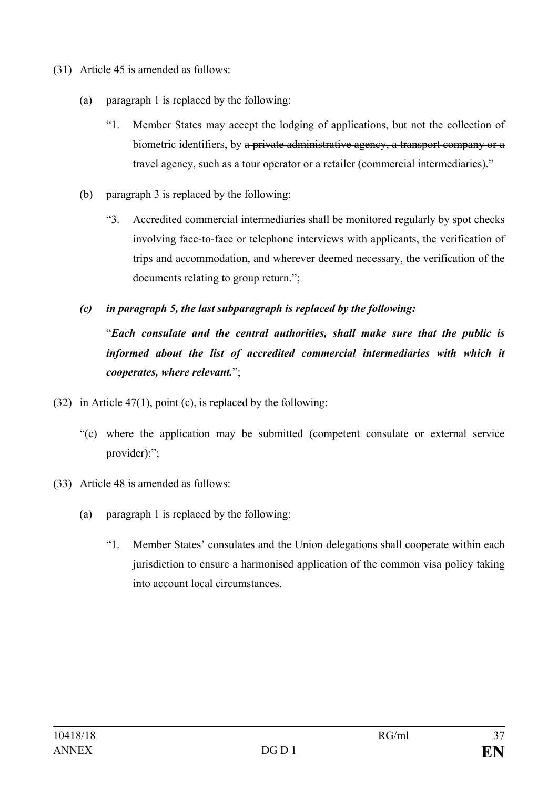- (31) Article 45 is amended as follows:
	- (a) paragraph 1 is replaced by the following:
		- "1. Member States may accept the lodging of applications, but not the collection of biometric identifiers, by a private administrative agency, a transport company or a travel agency, such as a tour operator or a retailer (commercial intermediaries)."
	- (b) paragraph 3 is replaced by the following:
		- "3. Accredited commercial intermediaries shall be monitored regularly by spot checks involving face-to-face or telephone interviews with applicants, the verification of trips and accommodation, and wherever deemed necessary, the verification of the documents relating to group return.";
	- *(c) in paragraph 5, the last subparagraph is replaced by the following:*

"*Each consulate and the central authorities, shall make sure that the public is*  informed about the list of accredited commercial intermediaries with which it *cooperates, where relevant.*";

- (32) in Article 47(1), point (c), is replaced by the following:
	- "(c) where the application may be submitted (competent consulate or external service provider);";
- (33) Article 48 is amended as follows:
	- (a) paragraph 1 is replaced by the following:
		- "1. Member States' consulates and the Union delegations shall cooperate within each jurisdiction to ensure a harmonised application of the common visa policy taking into account local circumstances.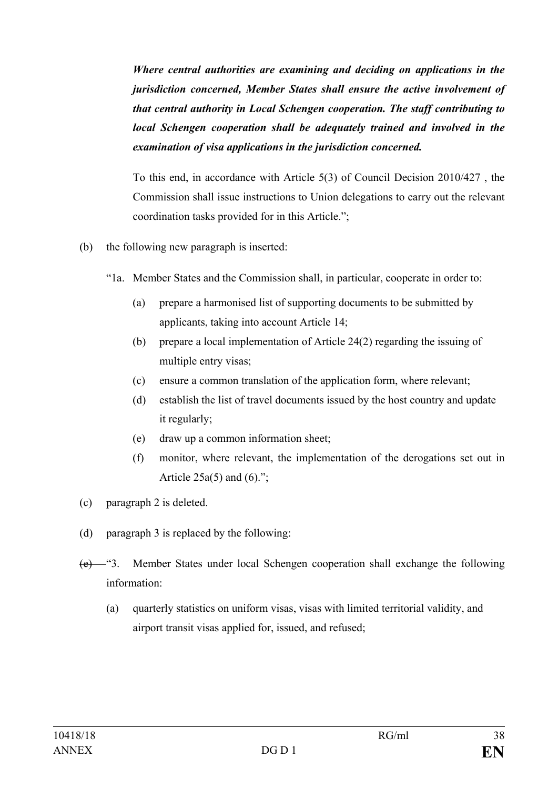*Where central authorities are examining and deciding on applications in the jurisdiction concerned, Member States shall ensure the active involvement of that central authority in Local Schengen cooperation. The staff contributing to local Schengen cooperation shall be adequately trained and involved in the examination of visa applications in the jurisdiction concerned.*

To this end, in accordance with Article 5(3) of Council Decision 2010/427 , the Commission shall issue instructions to Union delegations to carry out the relevant coordination tasks provided for in this Article.";

- (b) the following new paragraph is inserted:
	- "1a. Member States and the Commission shall, in particular, cooperate in order to:
		- (a) prepare a harmonised list of supporting documents to be submitted by applicants, taking into account Article 14;
		- (b) prepare a local implementation of Article 24(2) regarding the issuing of multiple entry visas;
		- (c) ensure a common translation of the application form, where relevant;
		- (d) establish the list of travel documents issued by the host country and update it regularly;
		- (e) draw up a common information sheet;
		- (f) monitor, where relevant, the implementation of the derogations set out in Article  $25a(5)$  and  $(6)$ .";
- (c) paragraph 2 is deleted.
- (d) paragraph 3 is replaced by the following:
- (e) "3. Member States under local Schengen cooperation shall exchange the following information:
	- (a) quarterly statistics on uniform visas, visas with limited territorial validity, and airport transit visas applied for, issued, and refused;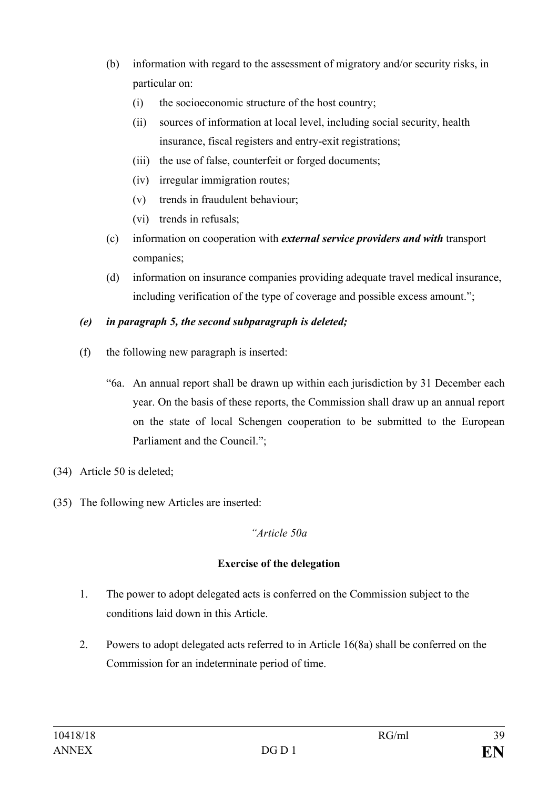- (b) information with regard to the assessment of migratory and/or security risks, in particular on:
	- (i) the socioeconomic structure of the host country;
	- (ii) sources of information at local level, including social security, health insurance, fiscal registers and entry-exit registrations;
	- (iii) the use of false, counterfeit or forged documents;
	- (iv) irregular immigration routes;
	- (v) trends in fraudulent behaviour;
	- (vi) trends in refusals;
- (c) information on cooperation with *external service providers and with* transport companies;
- (d) information on insurance companies providing adequate travel medical insurance, including verification of the type of coverage and possible excess amount.";

## *(e) in paragraph 5, the second subparagraph is deleted;*

- (f) the following new paragraph is inserted:
	- "6a. An annual report shall be drawn up within each jurisdiction by 31 December each year. On the basis of these reports, the Commission shall draw up an annual report on the state of local Schengen cooperation to be submitted to the European Parliament and the Council.";
- (34) Article 50 is deleted;
- (35) The following new Articles are inserted:

#### *"Article 50a*

## **Exercise of the delegation**

- 1. The power to adopt delegated acts is conferred on the Commission subject to the conditions laid down in this Article.
- 2. Powers to adopt delegated acts referred to in Article 16(8a) shall be conferred on the Commission for an indeterminate period of time.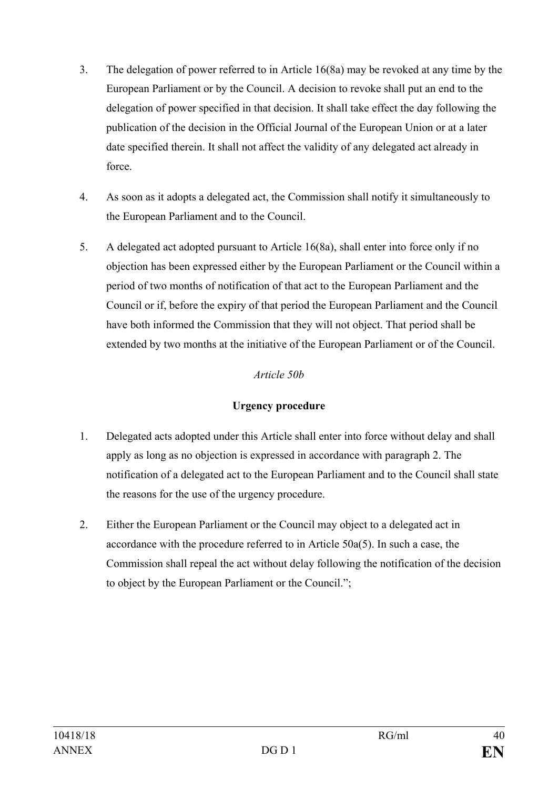- 3. The delegation of power referred to in Article 16(8a) may be revoked at any time by the European Parliament or by the Council. A decision to revoke shall put an end to the delegation of power specified in that decision. It shall take effect the day following the publication of the decision in the Official Journal of the European Union or at a later date specified therein. It shall not affect the validity of any delegated act already in force.
- 4. As soon as it adopts a delegated act, the Commission shall notify it simultaneously to the European Parliament and to the Council.
- 5. A delegated act adopted pursuant to Article 16(8a), shall enter into force only if no objection has been expressed either by the European Parliament or the Council within a period of two months of notification of that act to the European Parliament and the Council or if, before the expiry of that period the European Parliament and the Council have both informed the Commission that they will not object. That period shall be extended by two months at the initiative of the European Parliament or of the Council.

## *Article 50b*

## **Urgency procedure**

- 1. Delegated acts adopted under this Article shall enter into force without delay and shall apply as long as no objection is expressed in accordance with paragraph 2. The notification of a delegated act to the European Parliament and to the Council shall state the reasons for the use of the urgency procedure.
- 2. Either the European Parliament or the Council may object to a delegated act in accordance with the procedure referred to in Article 50a(5). In such a case, the Commission shall repeal the act without delay following the notification of the decision to object by the European Parliament or the Council.";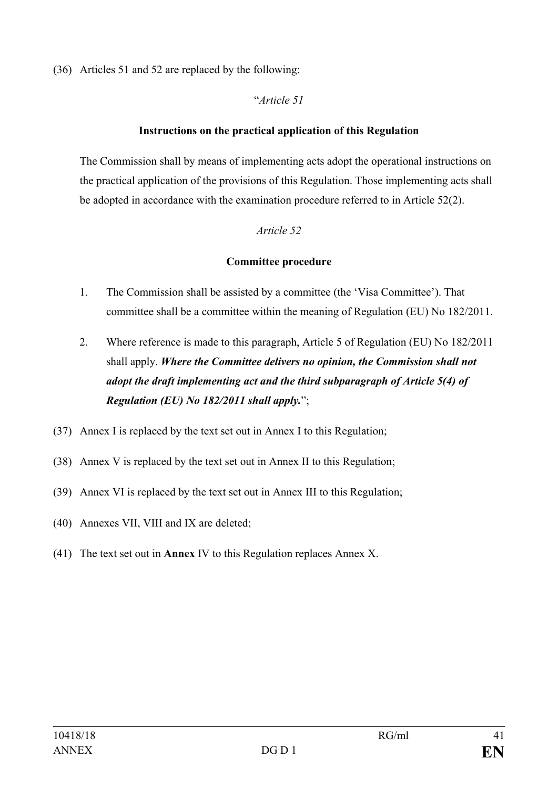(36) Articles 51 and 52 are replaced by the following:

## "*Article 51*

## **Instructions on the practical application of this Regulation**

The Commission shall by means of implementing acts adopt the operational instructions on the practical application of the provisions of this Regulation. Those implementing acts shall be adopted in accordance with the examination procedure referred to in Article 52(2).

## *Article 52*

## **Committee procedure**

- 1. The Commission shall be assisted by a committee (the 'Visa Committee'). That committee shall be a committee within the meaning of Regulation (EU) No 182/2011.
- 2. Where reference is made to this paragraph, Article 5 of Regulation (EU) No 182/2011 shall apply. *Where the Committee delivers no opinion, the Commission shall not adopt the draft implementing act and the third subparagraph of Article 5(4) of Regulation (EU) No 182/2011 shall apply.*";
- (37) Annex I is replaced by the text set out in Annex I to this Regulation;
- (38) Annex V is replaced by the text set out in Annex II to this Regulation;
- (39) Annex VI is replaced by the text set out in Annex III to this Regulation;
- (40) Annexes VII, VIII and IX are deleted;
- (41) The text set out in **Annex** IV to this Regulation replaces Annex X.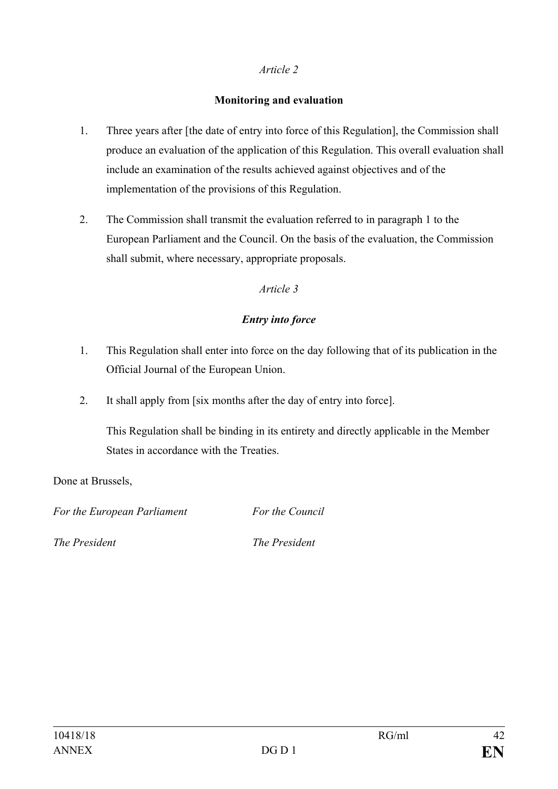## *Article 2*

## **Monitoring and evaluation**

- 1. Three years after [the date of entry into force of this Regulation], the Commission shall produce an evaluation of the application of this Regulation. This overall evaluation shall include an examination of the results achieved against objectives and of the implementation of the provisions of this Regulation.
- 2. The Commission shall transmit the evaluation referred to in paragraph 1 to the European Parliament and the Council. On the basis of the evaluation, the Commission shall submit, where necessary, appropriate proposals.

## *Article 3*

## *Entry into force*

- 1. This Regulation shall enter into force on the day following that of its publication in the Official Journal of the European Union.
- 2. It shall apply from [six months after the day of entry into force].

This Regulation shall be binding in its entirety and directly applicable in the Member States in accordance with the Treaties.

Done at Brussels,

*For the European Parliament For the Council*

*The President The President*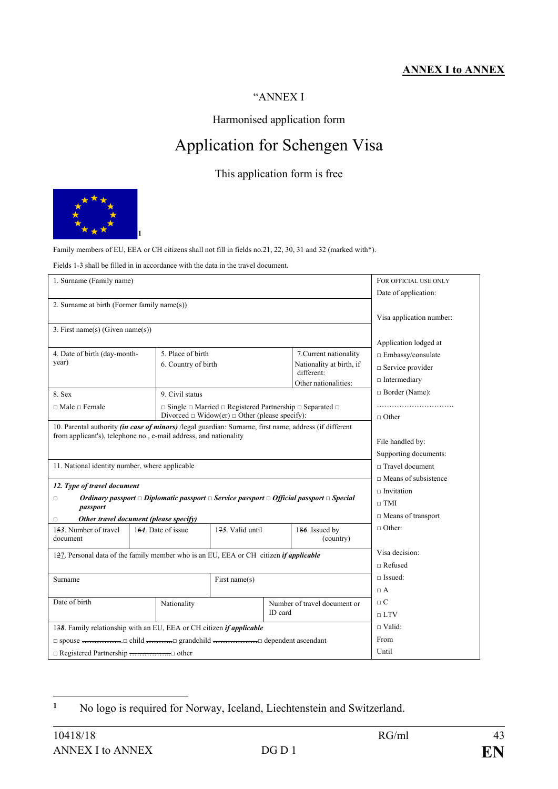## **ANNEX I to ANNEX**

#### "ANNEX I

#### Harmonised application form

# Application for Schengen Visa

## This application form is free



Family members of EU, EEA or CH citizens shall not fill in fields no.21, 22, 30, 31 and 32 (marked with\*).

Fields 1-3 shall be filled in in accordance with the data in the travel document.

| 1. Surname (Family name)                                                                                                           |                     |                                                                                    |                              |                                        | FOR OFFICIAL USE ONLY       |
|------------------------------------------------------------------------------------------------------------------------------------|---------------------|------------------------------------------------------------------------------------|------------------------------|----------------------------------------|-----------------------------|
|                                                                                                                                    |                     |                                                                                    |                              |                                        | Date of application:        |
| 2. Surname at birth (Former family name(s))                                                                                        |                     |                                                                                    |                              |                                        |                             |
|                                                                                                                                    |                     |                                                                                    |                              |                                        | Visa application number:    |
| 3. First name(s) (Given name(s))                                                                                                   |                     |                                                                                    |                              |                                        |                             |
|                                                                                                                                    |                     |                                                                                    |                              |                                        | Application lodged at       |
| 4. Date of birth (day-month-                                                                                                       |                     | 5. Place of birth                                                                  |                              | 7. Current nationality                 | $\Box$ Embassy/consulate    |
| year)                                                                                                                              | 6. Country of birth |                                                                                    |                              | Nationality at birth, if<br>different: | $\Box$ Service provider     |
|                                                                                                                                    |                     |                                                                                    |                              |                                        | $\Box$ Intermediary         |
| 8. Sex                                                                                                                             | 9. Civil status     |                                                                                    |                              | Other nationalities:                   | $\Box$ Border (Name):       |
| $\Box$ Male $\Box$ Female                                                                                                          |                     | $\Box$ Single $\Box$ Married $\Box$ Registered Partnership $\Box$ Separated $\Box$ |                              |                                        |                             |
|                                                                                                                                    |                     | Divorced $\Box$ Widow(er) $\Box$ Other (please specify):                           |                              |                                        | $\Box$ Other                |
| 10. Parental authority (in case of minors) /legal guardian: Surname, first name, address (if different                             |                     |                                                                                    |                              |                                        |                             |
| from applicant's), telephone no., e-mail address, and nationality                                                                  |                     |                                                                                    |                              |                                        | File handled by:            |
|                                                                                                                                    |                     |                                                                                    |                              |                                        | Supporting documents:       |
| 11. National identity number, where applicable                                                                                     |                     |                                                                                    |                              |                                        | □ Travel document           |
|                                                                                                                                    |                     |                                                                                    |                              |                                        | $\Box$ Means of subsistence |
| 12. Type of travel document                                                                                                        |                     |                                                                                    |                              |                                        | $\Box$ Invitation           |
| Ordinary passport $\Box$ Diplomatic passport $\Box$ Service passport $\Box$ Official passport $\Box$ Special<br>$\Box$<br>passport |                     |                                                                                    |                              |                                        | $\sqcap$ TMI                |
| Other travel document (please specify)<br>о                                                                                        |                     |                                                                                    |                              | $\Box$ Means of transport              |                             |
| 153. Number of travel                                                                                                              | 164. Date of issue  | 175. Valid until                                                                   |                              | 186. Issued by                         | $\Box$ Other:               |
| document                                                                                                                           |                     |                                                                                    |                              | (country)                              |                             |
| 127. Personal data of the family member who is an EU, EEA or CH citizen <i>if applicable</i>                                       |                     |                                                                                    |                              |                                        | Visa decision:              |
|                                                                                                                                    |                     |                                                                                    |                              |                                        | $\Box$ Refused              |
| Surname                                                                                                                            | First name(s)       |                                                                                    | $\sqcap$ Issued:             |                                        |                             |
|                                                                                                                                    |                     |                                                                                    |                              |                                        | $\Box$ A                    |
| Date of birth                                                                                                                      | Nationality         |                                                                                    | Number of travel document or |                                        | $\Box$ C                    |
|                                                                                                                                    |                     |                                                                                    | ID card                      |                                        | $\sqcap$ LTV                |
| 138. Family relationship with an EU, EEA or CH citizen <i>if applicable</i>                                                        |                     |                                                                                    | $\sqcap$ Valid:              |                                        |                             |
|                                                                                                                                    |                     |                                                                                    |                              | From                                   |                             |
|                                                                                                                                    |                     |                                                                                    |                              | Until                                  |                             |

<span id="page-42-0"></span> $\mathbf{1}$ **<sup>1</sup>** No logo is required for Norway, Iceland, Liechtenstein and Switzerland.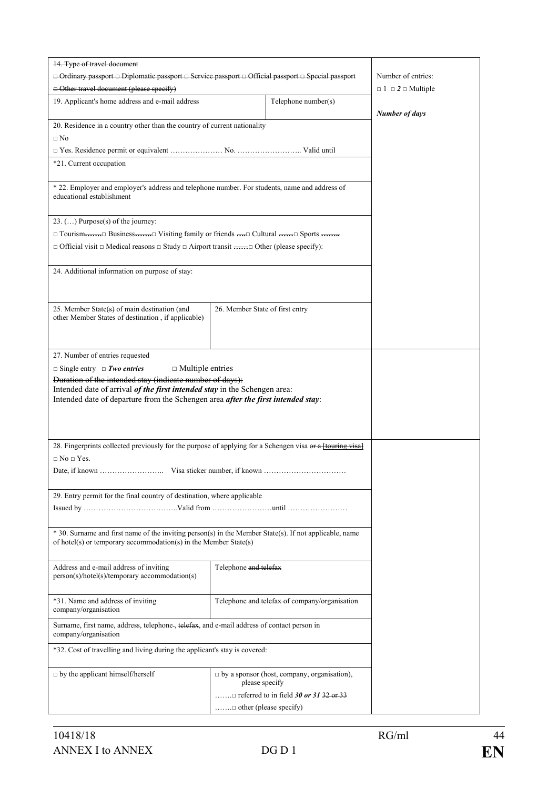| 14. Type of travel document                                                                                                                                                |                                                                      |                       |
|----------------------------------------------------------------------------------------------------------------------------------------------------------------------------|----------------------------------------------------------------------|-----------------------|
| □ Ordinary passport □ Diplomatic passport □ Service passport □ Official passport □ Special passport                                                                        | Number of entries:                                                   |                       |
| $\ominus$ Other travel document (please specify)                                                                                                                           | $\Box$ 1 $\Box$ 2 $\Box$ Multiple                                    |                       |
| 19. Applicant's home address and e-mail address                                                                                                                            | Telephone number(s)                                                  | <b>Number of days</b> |
| 20. Residence in a country other than the country of current nationality<br>$\Box$ No                                                                                      |                                                                      |                       |
|                                                                                                                                                                            |                                                                      |                       |
| *21. Current occupation                                                                                                                                                    |                                                                      |                       |
|                                                                                                                                                                            |                                                                      |                       |
| * 22. Employer and employer's address and telephone number. For students, name and address of<br>educational establishment                                                 |                                                                      |                       |
| $23. \ldots$ ) Purpose(s) of the journey:                                                                                                                                  |                                                                      |                       |
| $\Box$ Tourism $\dots \Box$ Business $\dots \Box$ Visiting family or friends $\dots \Box$ Cultural $\dots \Box$ Sports $\dots \Box$                                        |                                                                      |                       |
| $\Box$ Official visit $\Box$ Medical reasons $\Box$ Study $\Box$ Airport transit $\Box$ Other (please specify):                                                            |                                                                      |                       |
| 24. Additional information on purpose of stay:                                                                                                                             |                                                                      |                       |
|                                                                                                                                                                            |                                                                      |                       |
| 25. Member State(s) of main destination (and                                                                                                                               | 26. Member State of first entry                                      |                       |
| other Member States of destination, if applicable)                                                                                                                         |                                                                      |                       |
|                                                                                                                                                                            |                                                                      |                       |
| 27. Number of entries requested                                                                                                                                            |                                                                      |                       |
| $\Box$ Single entry $\Box$ Two entries<br>$\Box$ Multiple entries<br>Duration of the intended stay (indicate number of days):                                              |                                                                      |                       |
| Intended date of arrival of the first intended stay in the Schengen area:<br>Intended date of departure from the Schengen area after the first intended stay:              |                                                                      |                       |
|                                                                                                                                                                            |                                                                      |                       |
| 28. Fingerprints collected previously for the purpose of applying for a Schengen visa or a ftouring visal                                                                  |                                                                      |                       |
| $\Box$ No $\Box$ Yes.                                                                                                                                                      |                                                                      |                       |
|                                                                                                                                                                            |                                                                      |                       |
| 29. Entry permit for the final country of destination, where applicable                                                                                                    |                                                                      |                       |
|                                                                                                                                                                            |                                                                      |                       |
| * 30. Surname and first name of the inviting person(s) in the Member State(s). If not applicable, name<br>of hotel(s) or temporary accommodation(s) in the Member State(s) |                                                                      |                       |
| Address and e-mail address of inviting<br>person(s)/hotel(s)/temporary accommodation(s)                                                                                    | Telephone and telefax                                                |                       |
| *31. Name and address of inviting<br>company/organisation                                                                                                                  | Telephone and telefax of company/organisation                        |                       |
| Surname, first name, address, telephone-, telefax, and e-mail address of contact person in<br>company/organisation                                                         |                                                                      |                       |
| *32. Cost of travelling and living during the applicant's stay is covered:                                                                                                 |                                                                      |                       |
| $\Box$ by the applicant himself/herself                                                                                                                                    | $\Box$ by a sponsor (host, company, organisation),<br>please specify |                       |
|                                                                                                                                                                            |                                                                      |                       |
|                                                                                                                                                                            | $\dots \dots \square$ other (please specify)                         |                       |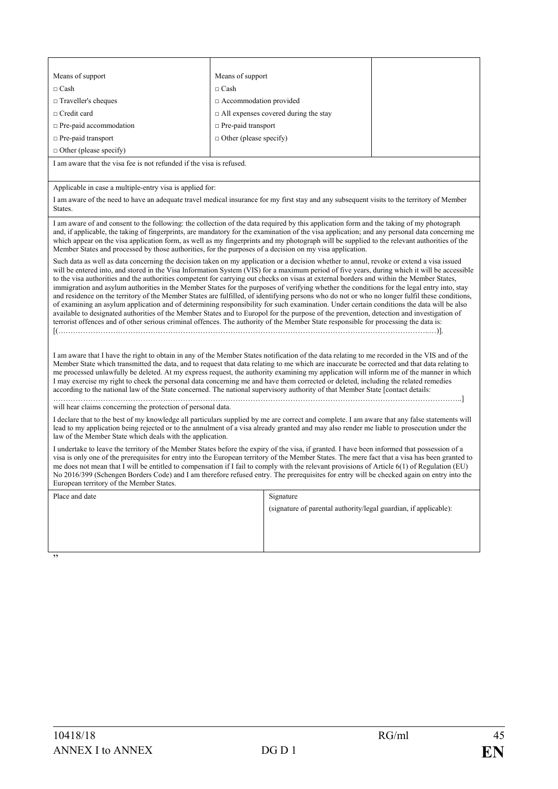| Means of support                                                                                                                                                                                                                                                                                                                                                                                                                                                                                                                                                                                                                                                                                                                                                                                                                                                                                                                                                                                                                                                                                                                                                        | Means of support                                                                                                                                                                                                                                                                                                                                                                                                                                                                                                                                                                                                                                                                                                   |  |  |
|-------------------------------------------------------------------------------------------------------------------------------------------------------------------------------------------------------------------------------------------------------------------------------------------------------------------------------------------------------------------------------------------------------------------------------------------------------------------------------------------------------------------------------------------------------------------------------------------------------------------------------------------------------------------------------------------------------------------------------------------------------------------------------------------------------------------------------------------------------------------------------------------------------------------------------------------------------------------------------------------------------------------------------------------------------------------------------------------------------------------------------------------------------------------------|--------------------------------------------------------------------------------------------------------------------------------------------------------------------------------------------------------------------------------------------------------------------------------------------------------------------------------------------------------------------------------------------------------------------------------------------------------------------------------------------------------------------------------------------------------------------------------------------------------------------------------------------------------------------------------------------------------------------|--|--|
| $\Box$ Cash                                                                                                                                                                                                                                                                                                                                                                                                                                                                                                                                                                                                                                                                                                                                                                                                                                                                                                                                                                                                                                                                                                                                                             | $\Box$ Cash                                                                                                                                                                                                                                                                                                                                                                                                                                                                                                                                                                                                                                                                                                        |  |  |
| $\Box$ Traveller's cheques                                                                                                                                                                                                                                                                                                                                                                                                                                                                                                                                                                                                                                                                                                                                                                                                                                                                                                                                                                                                                                                                                                                                              | $\Box$ Accommodation provided                                                                                                                                                                                                                                                                                                                                                                                                                                                                                                                                                                                                                                                                                      |  |  |
| $\Box$ Credit card                                                                                                                                                                                                                                                                                                                                                                                                                                                                                                                                                                                                                                                                                                                                                                                                                                                                                                                                                                                                                                                                                                                                                      | $\Box$ All expenses covered during the stay                                                                                                                                                                                                                                                                                                                                                                                                                                                                                                                                                                                                                                                                        |  |  |
| $\Box$ Pre-paid accommodation                                                                                                                                                                                                                                                                                                                                                                                                                                                                                                                                                                                                                                                                                                                                                                                                                                                                                                                                                                                                                                                                                                                                           | $\Box$ Pre-paid transport                                                                                                                                                                                                                                                                                                                                                                                                                                                                                                                                                                                                                                                                                          |  |  |
| $\Box$ Pre-paid transport                                                                                                                                                                                                                                                                                                                                                                                                                                                                                                                                                                                                                                                                                                                                                                                                                                                                                                                                                                                                                                                                                                                                               | $\Box$ Other (please specify)                                                                                                                                                                                                                                                                                                                                                                                                                                                                                                                                                                                                                                                                                      |  |  |
| $\Box$ Other (please specify)                                                                                                                                                                                                                                                                                                                                                                                                                                                                                                                                                                                                                                                                                                                                                                                                                                                                                                                                                                                                                                                                                                                                           |                                                                                                                                                                                                                                                                                                                                                                                                                                                                                                                                                                                                                                                                                                                    |  |  |
| I am aware that the visa fee is not refunded if the visa is refused.                                                                                                                                                                                                                                                                                                                                                                                                                                                                                                                                                                                                                                                                                                                                                                                                                                                                                                                                                                                                                                                                                                    |                                                                                                                                                                                                                                                                                                                                                                                                                                                                                                                                                                                                                                                                                                                    |  |  |
| Applicable in case a multiple-entry visa is applied for:                                                                                                                                                                                                                                                                                                                                                                                                                                                                                                                                                                                                                                                                                                                                                                                                                                                                                                                                                                                                                                                                                                                |                                                                                                                                                                                                                                                                                                                                                                                                                                                                                                                                                                                                                                                                                                                    |  |  |
| States.                                                                                                                                                                                                                                                                                                                                                                                                                                                                                                                                                                                                                                                                                                                                                                                                                                                                                                                                                                                                                                                                                                                                                                 | I am aware of the need to have an adequate travel medical insurance for my first stay and any subsequent visits to the territory of Member                                                                                                                                                                                                                                                                                                                                                                                                                                                                                                                                                                         |  |  |
| I am aware of and consent to the following: the collection of the data required by this application form and the taking of my photograph<br>and, if applicable, the taking of fingerprints, are mandatory for the examination of the visa application; and any personal data concerning me<br>which appear on the visa application form, as well as my fingerprints and my photograph will be supplied to the relevant authorities of the<br>Member States and processed by those authorities, for the purposes of a decision on my visa application.                                                                                                                                                                                                                                                                                                                                                                                                                                                                                                                                                                                                                   |                                                                                                                                                                                                                                                                                                                                                                                                                                                                                                                                                                                                                                                                                                                    |  |  |
| Such data as well as data concerning the decision taken on my application or a decision whether to annul, revoke or extend a visa issued<br>will be entered into, and stored in the Visa Information System (VIS) for a maximum period of five years, during which it will be accessible<br>to the visa authorities and the authorities competent for carrying out checks on visas at external borders and within the Member States,<br>immigration and asylum authorities in the Member States for the purposes of verifying whether the conditions for the legal entry into, stay<br>and residence on the territory of the Member States are fulfilled, of identifying persons who do not or who no longer fulfil these conditions,<br>of examining an asylum application and of determining responsibility for such examination. Under certain conditions the data will be also<br>available to designated authorities of the Member States and to Europol for the purpose of the prevention, detection and investigation of<br>terrorist offences and of other serious criminal offences. The authority of the Member State responsible for processing the data is: |                                                                                                                                                                                                                                                                                                                                                                                                                                                                                                                                                                                                                                                                                                                    |  |  |
|                                                                                                                                                                                                                                                                                                                                                                                                                                                                                                                                                                                                                                                                                                                                                                                                                                                                                                                                                                                                                                                                                                                                                                         | I am aware that I have the right to obtain in any of the Member States notification of the data relating to me recorded in the VIS and of the<br>Member State which transmitted the data, and to request that data relating to me which are inaccurate be corrected and that data relating to<br>me processed unlawfully be deleted. At my express request, the authority examining my application will inform me of the manner in which<br>I may exercise my right to check the personal data concerning me and have them corrected or deleted, including the related remedies<br>according to the national law of the State concerned. The national supervisory authority of that Member State [contact details: |  |  |
| will hear claims concerning the protection of personal data.                                                                                                                                                                                                                                                                                                                                                                                                                                                                                                                                                                                                                                                                                                                                                                                                                                                                                                                                                                                                                                                                                                            |                                                                                                                                                                                                                                                                                                                                                                                                                                                                                                                                                                                                                                                                                                                    |  |  |
| law of the Member State which deals with the application.                                                                                                                                                                                                                                                                                                                                                                                                                                                                                                                                                                                                                                                                                                                                                                                                                                                                                                                                                                                                                                                                                                               | I declare that to the best of my knowledge all particulars supplied by me are correct and complete. I am aware that any false statements will<br>lead to my application being rejected or to the annulment of a visa already granted and may also render me liable to prosecution under the                                                                                                                                                                                                                                                                                                                                                                                                                        |  |  |
| European territory of the Member States.                                                                                                                                                                                                                                                                                                                                                                                                                                                                                                                                                                                                                                                                                                                                                                                                                                                                                                                                                                                                                                                                                                                                | I undertake to leave the territory of the Member States before the expiry of the visa, if granted. I have been informed that possession of a<br>visa is only one of the prerequisites for entry into the European territory of the Member States. The mere fact that a visa has been granted to<br>me does not mean that I will be entitled to compensation if I fail to comply with the relevant provisions of Article 6(1) of Regulation (EU)<br>No 2016/399 (Schengen Borders Code) and I am therefore refused entry. The prerequisites for entry will be checked again on entry into the                                                                                                                       |  |  |
| Place and date                                                                                                                                                                                                                                                                                                                                                                                                                                                                                                                                                                                                                                                                                                                                                                                                                                                                                                                                                                                                                                                                                                                                                          | Signature                                                                                                                                                                                                                                                                                                                                                                                                                                                                                                                                                                                                                                                                                                          |  |  |
|                                                                                                                                                                                                                                                                                                                                                                                                                                                                                                                                                                                                                                                                                                                                                                                                                                                                                                                                                                                                                                                                                                                                                                         | (signature of parental authority/legal guardian, if applicable):                                                                                                                                                                                                                                                                                                                                                                                                                                                                                                                                                                                                                                                   |  |  |
|                                                                                                                                                                                                                                                                                                                                                                                                                                                                                                                                                                                                                                                                                                                                                                                                                                                                                                                                                                                                                                                                                                                                                                         |                                                                                                                                                                                                                                                                                                                                                                                                                                                                                                                                                                                                                                                                                                                    |  |  |
|                                                                                                                                                                                                                                                                                                                                                                                                                                                                                                                                                                                                                                                                                                                                                                                                                                                                                                                                                                                                                                                                                                                                                                         |                                                                                                                                                                                                                                                                                                                                                                                                                                                                                                                                                                                                                                                                                                                    |  |  |
|                                                                                                                                                                                                                                                                                                                                                                                                                                                                                                                                                                                                                                                                                                                                                                                                                                                                                                                                                                                                                                                                                                                                                                         |                                                                                                                                                                                                                                                                                                                                                                                                                                                                                                                                                                                                                                                                                                                    |  |  |
| ,,                                                                                                                                                                                                                                                                                                                                                                                                                                                                                                                                                                                                                                                                                                                                                                                                                                                                                                                                                                                                                                                                                                                                                                      |                                                                                                                                                                                                                                                                                                                                                                                                                                                                                                                                                                                                                                                                                                                    |  |  |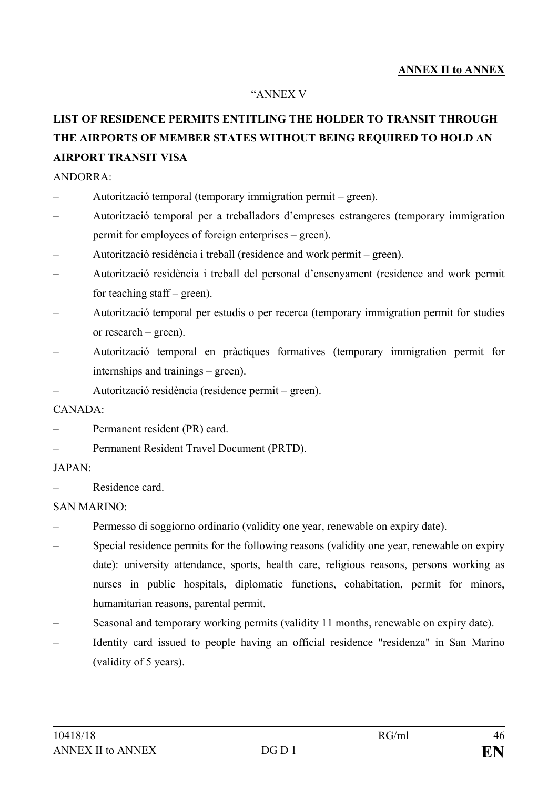## **ANNEX II to ANNEX**

#### "ANNEX V

## **LIST OF RESIDENCE PERMITS ENTITLING THE HOLDER TO TRANSIT THROUGH THE AIRPORTS OF MEMBER STATES WITHOUT BEING REQUIRED TO HOLD AN AIRPORT TRANSIT VISA**

#### ANDORRA:

- Autorització temporal (temporary immigration permit green).
- Autorització temporal per a treballadors d'empreses estrangeres (temporary immigration permit for employees of foreign enterprises – green).
- Autorització residència i treball (residence and work permit green).
- Autorització residència i treball del personal d'ensenyament (residence and work permit for teaching staff – green).
- Autorització temporal per estudis o per recerca (temporary immigration permit for studies or research – green).
- Autorització temporal en pràctiques formatives (temporary immigration permit for internships and trainings – green).
- Autorització residència (residence permit green).

#### $CANADA$

- Permanent resident (PR) card.
- Permanent Resident Travel Document (PRTD).

#### JAPAN:

Residence card

#### SAN MARINO:

- Permesso di soggiorno ordinario (validity one year, renewable on expiry date).
- Special residence permits for the following reasons (validity one year, renewable on expiry date): university attendance, sports, health care, religious reasons, persons working as nurses in public hospitals, diplomatic functions, cohabitation, permit for minors, humanitarian reasons, parental permit.
- Seasonal and temporary working permits (validity 11 months, renewable on expiry date).
- Identity card issued to people having an official residence "residenza" in San Marino (validity of 5 years).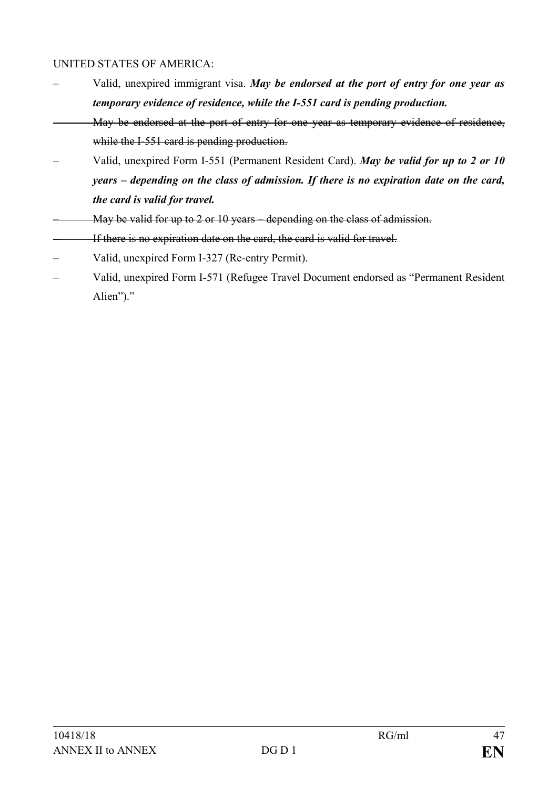### UNITED STATES OF AMERICA:

- Valid, unexpired immigrant visa. *May be endorsed at the port of entry for one year as temporary evidence of residence, while the I-551 card is pending production.*
- May be endorsed at the port of entry for one year as temporary evidence of residence, while the I-551 card is pending production.
- Valid, unexpired Form I-551 (Permanent Resident Card). *May be valid for up to 2 or 10 years – depending on the class of admission. If there is no expiration date on the card, the card is valid for travel.*
- May be valid for up to 2 or 10 years depending on the class of admission.
- If there is no expiration date on the card, the card is valid for travel.
- Valid, unexpired Form I-327 (Re-entry Permit).
- Valid, unexpired Form I-571 (Refugee Travel Document endorsed as "Permanent Resident Alien")."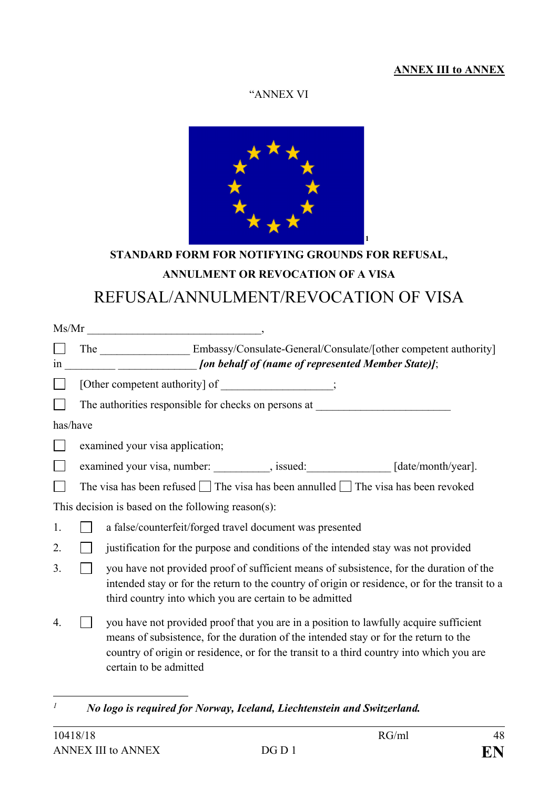## **ANNEX III to ANNEX**

#### "ANNEX VI



# **STANDARD FORM FOR NOTIFYING GROUNDS FOR REFUSAL, ANNULMENT OR REVOCATION OF A VISA** REFUSAL/ANNULMENT/REVOCATION OF VISA

|          |                                                                                  | $Ms/Mr$ , we have a set of $Ms/Mr$ .                                                                                                                                                                                                                                                                |  |  |
|----------|----------------------------------------------------------------------------------|-----------------------------------------------------------------------------------------------------------------------------------------------------------------------------------------------------------------------------------------------------------------------------------------------------|--|--|
|          |                                                                                  | The Embassy/Consulate-General/Consulate/[other competent authority]                                                                                                                                                                                                                                 |  |  |
| 1n       |                                                                                  | [on behalf of (name of represented Member State)];                                                                                                                                                                                                                                                  |  |  |
|          | [Other competent authority] of ________________;                                 |                                                                                                                                                                                                                                                                                                     |  |  |
|          | The authorities responsible for checks on persons at                             |                                                                                                                                                                                                                                                                                                     |  |  |
| has/have |                                                                                  |                                                                                                                                                                                                                                                                                                     |  |  |
|          |                                                                                  | examined your visa application;                                                                                                                                                                                                                                                                     |  |  |
|          | examined your visa, number: _________, issued: ______________ [date/month/year]. |                                                                                                                                                                                                                                                                                                     |  |  |
|          |                                                                                  | The visa has been refused $\Box$ The visa has been annulled $\Box$ The visa has been revoked                                                                                                                                                                                                        |  |  |
|          |                                                                                  | This decision is based on the following reason(s):                                                                                                                                                                                                                                                  |  |  |
| 1.       |                                                                                  | a false/counterfeit/forged travel document was presented                                                                                                                                                                                                                                            |  |  |
| 2.       |                                                                                  | justification for the purpose and conditions of the intended stay was not provided                                                                                                                                                                                                                  |  |  |
| 3.       |                                                                                  | you have not provided proof of sufficient means of subsistence, for the duration of the<br>intended stay or for the return to the country of origin or residence, or for the transit to a<br>third country into which you are certain to be admitted                                                |  |  |
| 4.       |                                                                                  | you have not provided proof that you are in a position to lawfully acquire sufficient<br>means of subsistence, for the duration of the intended stay or for the return to the<br>country of origin or residence, or for the transit to a third country into which you are<br>certain to be admitted |  |  |

<span id="page-47-0"></span> $\overline{I}$ *<sup>1</sup> No logo is required for Norway, Iceland, Liechtenstein and Switzerland.*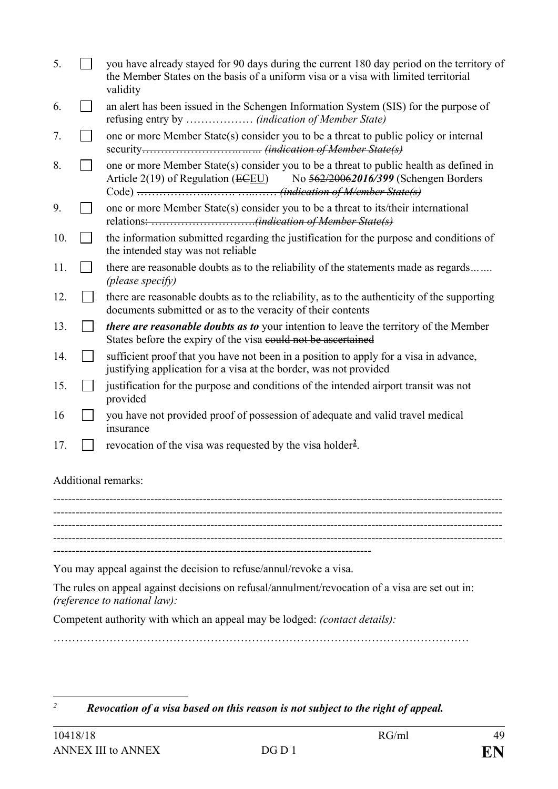| 5.  | you have already stayed for 90 days during the current 180 day period on the territory of<br>the Member States on the basis of a uniform visa or a visa with limited territorial<br>validity |
|-----|----------------------------------------------------------------------------------------------------------------------------------------------------------------------------------------------|
| 6.  | an alert has been issued in the Schengen Information System (SIS) for the purpose of                                                                                                         |
| 7.  | one or more Member State(s) consider you to be a threat to public policy or internal                                                                                                         |
| 8.  | one or more Member State(s) consider you to be a threat to public health as defined in<br>Article $2(19)$ of Regulation (ECEU)<br>No 562/20062016/399 (Schengen Borders                      |
| 9.  | one or more Member State(s) consider you to be a threat to its/their international                                                                                                           |
| 10. | the information submitted regarding the justification for the purpose and conditions of<br>the intended stay was not reliable                                                                |
| 11. | there are reasonable doubts as to the reliability of the statements made as regards<br>(please specify)                                                                                      |
| 12. | there are reasonable doubts as to the reliability, as to the authenticity of the supporting<br>documents submitted or as to the veracity of their contents                                   |
| 13. | there are reasonable doubts as to your intention to leave the territory of the Member<br>States before the expiry of the visa could not be ascertained                                       |
| 14. | sufficient proof that you have not been in a position to apply for a visa in advance,<br>justifying application for a visa at the border, was not provided                                   |
| 15. | justification for the purpose and conditions of the intended airport transit was not<br>provided                                                                                             |
| 16  | you have not provided proof of possession of adequate and valid travel medical<br>insurance                                                                                                  |
| 17. | revocation of the visa was requested by the visa holder <sup>2</sup> .                                                                                                                       |
|     |                                                                                                                                                                                              |

Additional remarks:

------------------------------------------------------------------------------------------------------------------------ ------------------------------------------------------------------------------------------------------------------------ ------------------------------------------------------------------------------------------------------------------------ ------------------------------------------------------------------------------------------------------------------------ -------------------------------------------------------------------------------------

You may appeal against the decision to refuse/annul/revoke a visa.

The rules on appeal against decisions on refusal/annulment/revocation of a visa are set out in: *(reference to national law):*

Competent authority with which an appeal may be lodged: *(contact details):*

…………………………………………………………………………………………………

<span id="page-48-0"></span> $\overline{2}$ *<sup>2</sup> Revocation of a visa based on this reason is not subject to the right of appeal.*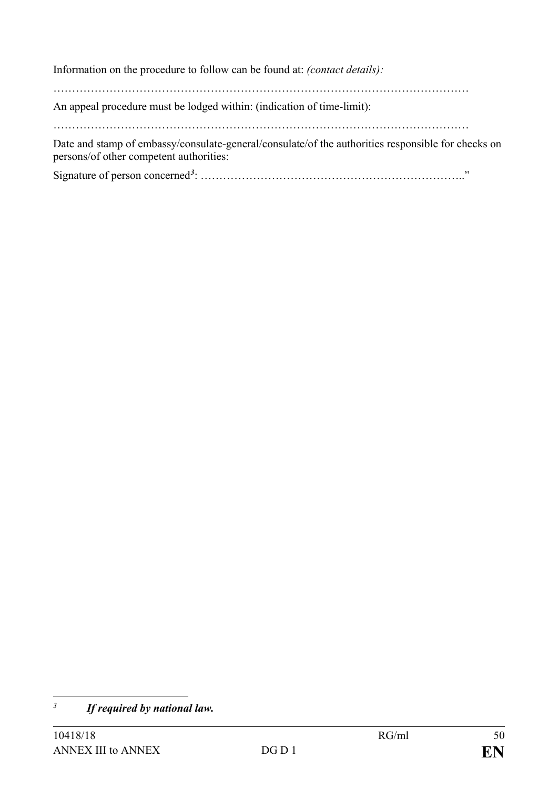Information on the procedure to follow can be found at: *(contact details):*

…………………………………………………………………………………………………

An appeal procedure must be lodged within: (indication of time-limit):

…………………………………………………………………………………………………

Date and stamp of embassy/consulate-general/consulate/of the authorities responsible for checks on persons/of other competent authorities:

Signature of person concerned*[3](#page-49-0)* : …………………………………………………………….."

<span id="page-49-0"></span> $\overline{3}$ *<sup>3</sup> If required by national law.*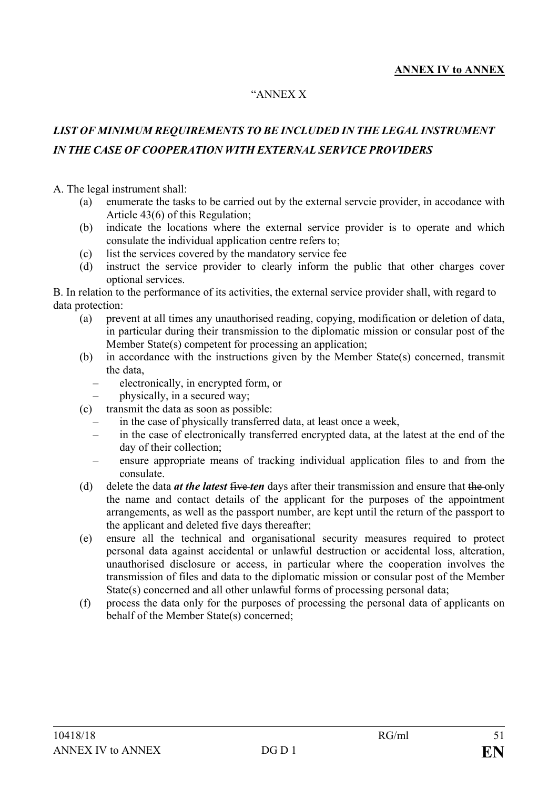#### "ANNEX X

## *LIST OF MINIMUM REQUIREMENTS TO BE INCLUDED IN THE LEGAL INSTRUMENT IN THE CASE OF COOPERATION WITH EXTERNAL SERVICE PROVIDERS*

#### A. The legal instrument shall:

- (a) enumerate the tasks to be carried out by the external servcie provider, in accodance with Article 43(6) of this Regulation;
- (b) indicate the locations where the external service provider is to operate and which consulate the individual application centre refers to;
- (c) list the services covered by the mandatory service fee
- (d) instruct the service provider to clearly inform the public that other charges cover optional services.

B. In relation to the performance of its activities, the external service provider shall, with regard to data protection:

- (a) prevent at all times any unauthorised reading, copying, modification or deletion of data, in particular during their transmission to the diplomatic mission or consular post of the Member State(s) competent for processing an application;
- (b) in accordance with the instructions given by the Member State(s) concerned, transmit the data,
	- electronically, in encrypted form, or
	- physically, in a secured way;
- (c) transmit the data as soon as possible:
	- in the case of physically transferred data, at least once a week,
	- in the case of electronically transferred encrypted data, at the latest at the end of the day of their collection;
	- ensure appropriate means of tracking individual application files to and from the consulate.
- (d) delete the data *at the latest* five *ten* days after their transmission and ensure that the only the name and contact details of the applicant for the purposes of the appointment arrangements, as well as the passport number, are kept until the return of the passport to the applicant and deleted five days thereafter;
- (e) ensure all the technical and organisational security measures required to protect personal data against accidental or unlawful destruction or accidental loss, alteration, unauthorised disclosure or access, in particular where the cooperation involves the transmission of files and data to the diplomatic mission or consular post of the Member State(s) concerned and all other unlawful forms of processing personal data;
- (f) process the data only for the purposes of processing the personal data of applicants on behalf of the Member State(s) concerned;